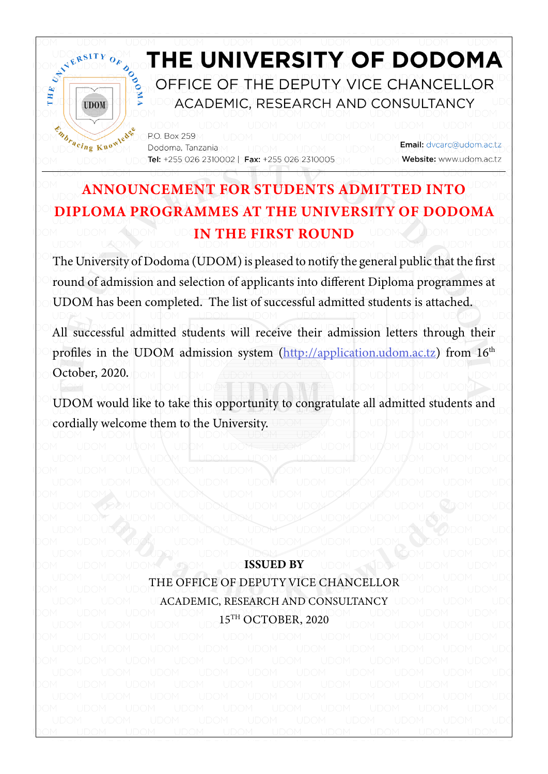

## ANNOUNCEMENT FOR STUDENTS ADMITTED INTO DIPLOMA PROGRAMMES AT THE UNIVERSITY OF DODOMA IN THE FIRST ROUND

The University of Dodoma (UDOM) is pleased to notify the general public that the first round of admission and selection of applicants into different Diploma programmes at UDOM has been completed. The list of successful admitted students is attached.

All successful admitted students will receive their admission letters through their profiles in the UDOM admission system ([http://application.udom.ac.tz\)](http://application.udom.ac.tz) from 16<sup>th</sup> October, 2020.

UDOM would like to take this opportunity to congratulate all admitted students and cordially welcome them to the University.

ISSUED BY THE OFFICE OF DEPUTY VICE CHANCELLOR ACADEMIC, RESEARCH AND CONSULTANCY 15TH OCTOBER, 2020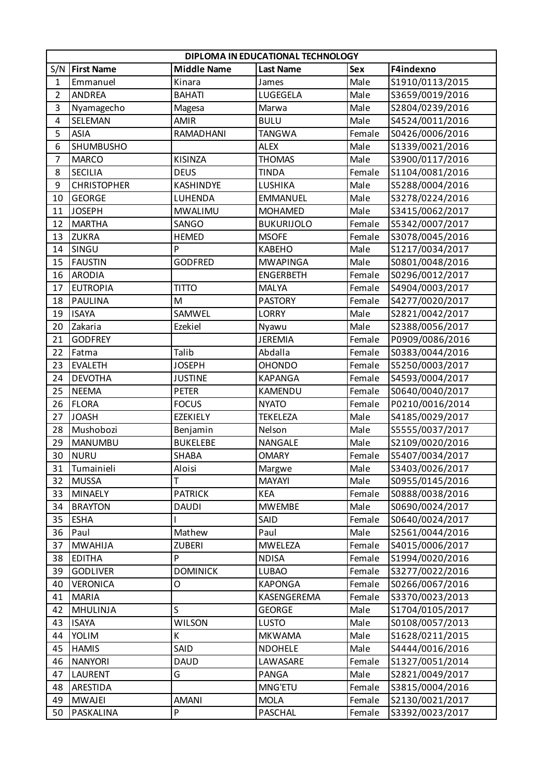|                | DIPLOMA IN EDUCATIONAL TECHNOLOGY |                    |                   |            |                 |  |  |
|----------------|-----------------------------------|--------------------|-------------------|------------|-----------------|--|--|
| S/N            | <b>First Name</b>                 | <b>Middle Name</b> | <b>Last Name</b>  | <b>Sex</b> | F4indexno       |  |  |
| 1              | Emmanuel                          | Kinara             | James             | Male       | S1910/0113/2015 |  |  |
| $\overline{2}$ | <b>ANDREA</b>                     | <b>BAHATI</b>      | LUGEGELA          | Male       | S3659/0019/2016 |  |  |
| 3              | Nyamagecho                        | Magesa             | Marwa             | Male       | S2804/0239/2016 |  |  |
| 4              | SELEMAN                           | <b>AMIR</b>        | <b>BULU</b>       | Male       | S4524/0011/2016 |  |  |
| 5              | <b>ASIA</b>                       | RAMADHANI          | <b>TANGWA</b>     | Female     | S0426/0006/2016 |  |  |
| 6              | <b>SHUMBUSHO</b>                  |                    | <b>ALEX</b>       | Male       | S1339/0021/2016 |  |  |
| $\overline{7}$ | <b>MARCO</b>                      | KISINZA            | <b>THOMAS</b>     | Male       | S3900/0117/2016 |  |  |
| 8              | <b>SECILIA</b>                    | <b>DEUS</b>        | <b>TINDA</b>      | Female     | S1104/0081/2016 |  |  |
| 9              | <b>CHRISTOPHER</b>                | KASHINDYE          | LUSHIKA           | Male       | S5288/0004/2016 |  |  |
| 10             | <b>GEORGE</b>                     | LUHENDA            | <b>EMMANUEL</b>   | Male       | S3278/0224/2016 |  |  |
| 11             | <b>JOSEPH</b>                     | <b>MWALIMU</b>     | <b>MOHAMED</b>    | Male       | S3415/0062/2017 |  |  |
| 12             | <b>MARTHA</b>                     | SANGO              | <b>BUKURIJOLO</b> | Female     | S5342/0007/2017 |  |  |
| 13             | <b>ZUKRA</b>                      | <b>HEMED</b>       | <b>MSOFE</b>      | Female     | S3078/0045/2016 |  |  |
| 14             | SINGU                             | P                  | <b>KABEHO</b>     | Male       | S1217/0034/2017 |  |  |
| 15             | <b>FAUSTIN</b>                    | <b>GODFRED</b>     | <b>MWAPINGA</b>   | Male       | S0801/0048/2016 |  |  |
| 16             | <b>ARODIA</b>                     |                    | <b>ENGERBETH</b>  | Female     | S0296/0012/2017 |  |  |
| 17             | <b>EUTROPIA</b>                   | TITTO              | <b>MALYA</b>      | Female     | S4904/0003/2017 |  |  |
| 18             | <b>PAULINA</b>                    | M                  | <b>PASTORY</b>    | Female     | S4277/0020/2017 |  |  |
| 19             | <b>ISAYA</b>                      | SAMWEL             | <b>LORRY</b>      | Male       | S2821/0042/2017 |  |  |
| 20             | Zakaria                           | Ezekiel            | Nyawu             | Male       | S2388/0056/2017 |  |  |
| 21             | <b>GODFREY</b>                    |                    | <b>JEREMIA</b>    | Female     | P0909/0086/2016 |  |  |
| 22             | Fatma                             | Talib              | Abdalla           | Female     | S0383/0044/2016 |  |  |
| 23             | <b>EVALETH</b>                    | <b>JOSEPH</b>      | <b>OHONDO</b>     | Female     | S5250/0003/2017 |  |  |
| 24             | <b>DEVOTHA</b>                    | <b>JUSTINE</b>     | <b>KAPANGA</b>    | Female     | S4593/0004/2017 |  |  |
| 25             | <b>NEEMA</b>                      | <b>PETER</b>       | KAMENDU           | Female     | S0640/0040/2017 |  |  |
| 26             | <b>FLORA</b>                      | <b>FOCUS</b>       | <b>NYATO</b>      | Female     | P0210/0016/2014 |  |  |
| 27             | <b>JOASH</b>                      | <b>EZEKIELY</b>    | <b>TEKELEZA</b>   | Male       | S4185/0029/2017 |  |  |
| 28             | Mushobozi                         | Benjamin           | Nelson            | Male       | S5555/0037/2017 |  |  |
| 29             | <b>MANUMBU</b>                    | <b>BUKELEBE</b>    | <b>NANGALE</b>    | Male       | S2109/0020/2016 |  |  |
| 30             | <b>NURU</b>                       | SHABA              | <b>OMARY</b>      | Female     | S5407/0034/2017 |  |  |
| 31             | Tumainieli                        | Aloisi             | Margwe            | Male       | S3403/0026/2017 |  |  |
| 32             | <b>MUSSA</b>                      | т                  | MAYAYI            | Male       | S0955/0145/2016 |  |  |
| 33             | <b>MINAELY</b>                    | <b>PATRICK</b>     | <b>KEA</b>        | Female     | S0888/0038/2016 |  |  |
| 34             | <b>BRAYTON</b>                    | <b>DAUDI</b>       | <b>MWEMBE</b>     | Male       | S0690/0024/2017 |  |  |
| 35             | <b>ESHA</b>                       |                    | SAID              | Female     | S0640/0024/2017 |  |  |
| 36             | Paul                              | Mathew             | Paul              | Male       | S2561/0044/2016 |  |  |
| 37             | <b>MWAHIJA</b>                    | <b>ZUBERI</b>      | <b>MWELEZA</b>    | Female     | S4015/0006/2017 |  |  |
| 38             | <b>EDITHA</b>                     | P                  | <b>NDISA</b>      | Female     | S1994/0020/2016 |  |  |
| 39             | <b>GODLIVER</b>                   | <b>DOMINICK</b>    | <b>LUBAO</b>      | Female     | S3277/0022/2016 |  |  |
| 40             | <b>VERONICA</b>                   | О                  | <b>KAPONGA</b>    | Female     | S0266/0067/2016 |  |  |
| 41             | <b>MARIA</b>                      |                    | KASENGEREMA       | Female     | S3370/0023/2013 |  |  |
| 42             | <b>MHULINJA</b>                   | S                  | <b>GEORGE</b>     | Male       | S1704/0105/2017 |  |  |
| 43             | <b>ISAYA</b>                      | <b>WILSON</b>      | <b>LUSTO</b>      | Male       | S0108/0057/2013 |  |  |
| 44             | YOLIM                             | К                  | <b>MKWAMA</b>     | Male       | S1628/0211/2015 |  |  |
| 45             | <b>HAMIS</b>                      | SAID               | <b>NDOHELE</b>    | Male       | S4444/0016/2016 |  |  |
| 46             | <b>NANYORI</b>                    | <b>DAUD</b>        | LAWASARE          | Female     | S1327/0051/2014 |  |  |
| 47             | LAURENT                           | G                  | PANGA             | Male       | S2821/0049/2017 |  |  |
| 48             | ARESTIDA                          |                    | MNG'ETU           | Female     | S3815/0004/2016 |  |  |
| 49             | <b>MWAJEI</b>                     | AMANI              | <b>MOLA</b>       | Female     | S2130/0021/2017 |  |  |
| 50             | PASKALINA                         | ${\sf P}$          | <b>PASCHAL</b>    | Female     | S3392/0023/2017 |  |  |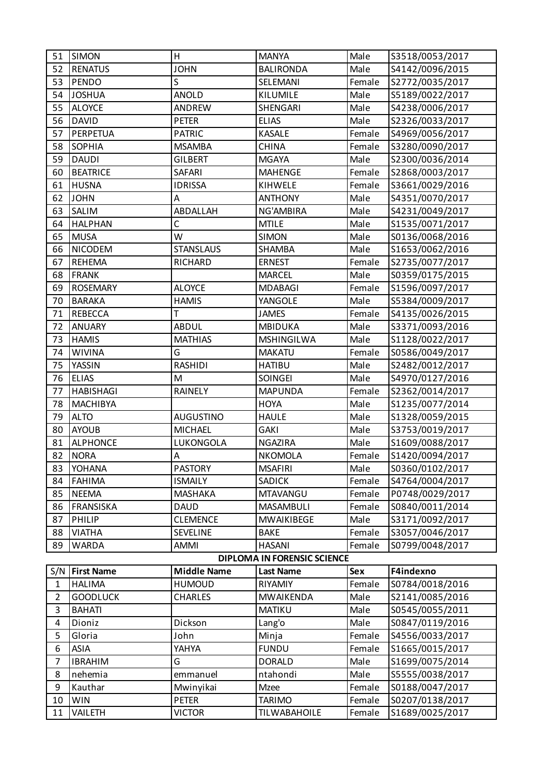| 51             | <b>SIMON</b>      | H                         | <b>MANYA</b>                       | Male       | S3518/0053/2017                    |
|----------------|-------------------|---------------------------|------------------------------------|------------|------------------------------------|
| 52             | <b>RENATUS</b>    | <b>JOHN</b>               | <b>BALIRONDA</b>                   | Male       | S4142/0096/2015                    |
| 53             | <b>PENDO</b>      | Ś                         | SELEMANI                           | Female     | S2772/0035/2017                    |
| 54             | <b>JOSHUA</b>     | <b>ANOLD</b>              | KILUMILE                           | Male       | S5189/0022/2017                    |
| 55             | <b>ALOYCE</b>     | <b>ANDREW</b>             | SHENGARI                           | Male       | S4238/0006/2017                    |
| 56             | <b>DAVID</b>      | <b>PETER</b>              | <b>ELIAS</b>                       | Male       | S2326/0033/2017                    |
| 57             | PERPETUA          | <b>PATRIC</b>             | <b>KASALE</b>                      | Female     | S4969/0056/2017                    |
| 58             | <b>SOPHIA</b>     | <b>MSAMBA</b>             | <b>CHINA</b>                       | Female     | S3280/0090/2017                    |
| 59             | <b>DAUDI</b>      | <b>GILBERT</b>            | <b>MGAYA</b>                       | Male       | S2300/0036/2014                    |
| 60             | <b>BEATRICE</b>   | SAFARI                    | <b>MAHENGE</b>                     | Female     | S2868/0003/2017                    |
| 61             | <b>HUSNA</b>      | <b>IDRISSA</b>            | KIHWELE                            | Female     | S3661/0029/2016                    |
| 62             | <b>JOHN</b>       | A                         | <b>ANTHONY</b>                     | Male       | S4351/0070/2017                    |
| 63             | SALIM             | ABDALLAH                  | NG'AMBIRA                          | Male       | S4231/0049/2017                    |
| 64             | <b>HALPHAN</b>    | C                         | <b>MTILE</b>                       | Male       | S1535/0071/2017                    |
| 65             | <b>MUSA</b>       | W                         | <b>SIMON</b>                       | Male       | S0136/0068/2016                    |
| 66             | <b>NICODEM</b>    | <b>STANSLAUS</b>          | SHAMBA                             | Male       | S1653/0062/2016                    |
| 67             | <b>REHEMA</b>     | RICHARD                   | <b>ERNEST</b>                      | Female     | S2735/0077/2017                    |
| 68             | <b>FRANK</b>      |                           | <b>MARCEL</b>                      | Male       | S0359/0175/2015                    |
| 69             | <b>ROSEMARY</b>   | <b>ALOYCE</b>             | <b>MDABAGI</b>                     | Female     | S1596/0097/2017                    |
| 70             | <b>BARAKA</b>     | <b>HAMIS</b>              | YANGOLE                            | Male       | S5384/0009/2017                    |
| 71             | <b>REBECCA</b>    | т                         | <b>JAMES</b>                       | Female     | S4135/0026/2015                    |
| 72             | <b>ANUARY</b>     | <b>ABDUL</b>              | <b>MBIDUKA</b>                     | Male       | S3371/0093/2016                    |
| 73             | <b>HAMIS</b>      | <b>MATHIAS</b>            | <b>MSHINGILWA</b>                  | Male       | S1128/0022/2017                    |
| 74             | <b>WIVINA</b>     | G                         | <b>MAKATU</b>                      | Female     | S0586/0049/2017                    |
| 75             | YASSIN            | <b>RASHIDI</b>            | <b>HATIBU</b>                      | Male       | S2482/0012/2017                    |
| 76             | <b>ELIAS</b>      | M                         | <b>SOINGEI</b>                     | Male       | S4970/0127/2016                    |
| 77             | <b>HABISHAGI</b>  | <b>RAINELY</b>            | <b>MAPUNDA</b>                     | Female     | S2362/0014/2017                    |
| 78             | <b>MACHIBYA</b>   |                           | <b>HOYA</b>                        | Male       | S1235/0077/2014                    |
| 79             | <b>ALTO</b>       | <b>AUGUSTINO</b>          | <b>HAULE</b>                       | Male       | S1328/0059/2015                    |
| 80             | <b>AYOUB</b>      | <b>MICHAEL</b>            | <b>GAKI</b>                        | Male       | S3753/0019/2017                    |
| 81             | <b>ALPHONCE</b>   | LUKONGOLA                 | NGAZIRA                            | Male       | S1609/0088/2017                    |
| 82             | <b>NORA</b>       | $\boldsymbol{\mathsf{A}}$ | <b>NKOMOLA</b>                     | Female     | S1420/0094/2017                    |
| 83             | <b>YOHANA</b>     | <b>PASTORY</b>            | <b>MSAFIRI</b>                     | Male       | S0360/0102/2017                    |
| 84             | <b>FAHIMA</b>     | <b>ISMAILY</b>            | <b>SADICK</b>                      | Female     | S4764/0004/2017                    |
| 85             | <b>NEEMA</b>      | <b>MASHAKA</b>            | <b>MTAVANGU</b>                    | Female     | P0748/0029/2017                    |
| 86             | <b>FRANSISKA</b>  | <b>DAUD</b>               | MASAMBULI                          | Female     | S0840/0011/2014                    |
| 87             | PHILIP            | <b>CLEMENCE</b>           | <b>MWAIKIBEGE</b>                  | Male       | S3171/0092/2017                    |
| 88             | <b>VIATHA</b>     | <b>SEVELINE</b>           | <b>BAKE</b>                        | Female     | S3057/0046/2017                    |
| 89             | <b>WARDA</b>      | <b>AMMI</b>               | <b>HASANI</b>                      | Female     | S0799/0048/2017                    |
|                |                   |                           | <b>DIPLOMA IN FORENSIC SCIENCE</b> |            |                                    |
| S/N            | <b>First Name</b> | <b>Middle Name</b>        | <b>Last Name</b>                   | <b>Sex</b> | F4indexno                          |
| $\mathbf{1}$   | <b>HALIMA</b>     | <b>HUMOUD</b>             | RIYAMIY                            | Female     | S0784/0018/2016                    |
| 2              | <b>GOODLUCK</b>   | <b>CHARLES</b>            | <b>MWAIKENDA</b>                   | Male       | S2141/0085/2016                    |
| 3              | <b>BAHATI</b>     |                           | <b>MATIKU</b>                      | Male       | S0545/0055/2011                    |
| 4              | Dioniz            | Dickson                   | Lang'o                             | Male       | S0847/0119/2016                    |
| 5              | Gloria            | John                      | Minja                              | Female     | S4556/0033/2017                    |
| 6              | <b>ASIA</b>       | YAHYA                     | <b>FUNDU</b>                       | Female     | S1665/0015/2017                    |
| $\overline{7}$ | <b>IBRAHIM</b>    | G                         | <b>DORALD</b>                      | Male       | S1699/0075/2014                    |
| 8              | nehemia           | emmanuel                  | ntahondi                           | Male       | S5555/0038/2017                    |
| 9              | Kauthar           | Mwinyikai                 | Mzee                               | Female     | S0188/0047/2017                    |
| 10             | <b>WIN</b>        | <b>PETER</b>              | <b>TARIMO</b>                      | Female     | S0207/0138/2017<br>S1689/0025/2017 |
| 11             | VAILETH           | <b>VICTOR</b>             | TILWABAHOILE                       | Female     |                                    |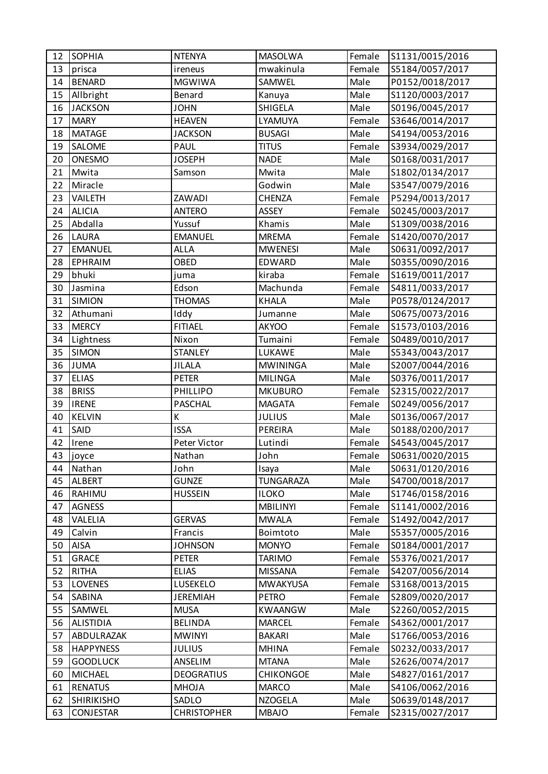| 12 | <b>SOPHIA</b>     | <b>NTENYA</b>      | <b>MASOLWA</b>   | Female | S1131/0015/2016 |
|----|-------------------|--------------------|------------------|--------|-----------------|
| 13 | prisca            | ireneus            | mwakinula        | Female | S5184/0057/2017 |
| 14 | <b>BENARD</b>     | <b>MGWIWA</b>      | SAMWEL           | Male   | P0152/0018/2017 |
| 15 | Allbright         | Benard             | Kanuya           | Male   | S1120/0003/2017 |
| 16 | <b>JACKSON</b>    | <b>JOHN</b>        | <b>SHIGELA</b>   | Male   | S0196/0045/2017 |
| 17 | <b>MARY</b>       | <b>HEAVEN</b>      | LYAMUYA          | Female | S3646/0014/2017 |
| 18 | <b>MATAGE</b>     | <b>JACKSON</b>     | <b>BUSAGI</b>    | Male   | S4194/0053/2016 |
| 19 | SALOME            | <b>PAUL</b>        | <b>TITUS</b>     | Female | S3934/0029/2017 |
| 20 | ONESMO            | <b>JOSEPH</b>      | <b>NADE</b>      | Male   | S0168/0031/2017 |
| 21 | Mwita             | Samson             | Mwita            | Male   | S1802/0134/2017 |
| 22 | Miracle           |                    | Godwin           | Male   | S3547/0079/2016 |
| 23 | VAILETH           | <b>ZAWADI</b>      | <b>CHENZA</b>    | Female | P5294/0013/2017 |
| 24 | <b>ALICIA</b>     | <b>ANTERO</b>      | <b>ASSEY</b>     | Female | S0245/0003/2017 |
| 25 | Abdalla           | Yussuf             | Khamis           | Male   | S1309/0038/2016 |
| 26 | <b>LAURA</b>      | <b>EMANUEL</b>     | <b>MREMA</b>     | Female | S1420/0070/2017 |
| 27 | <b>EMANUEL</b>    | <b>ALLA</b>        | <b>MWENESI</b>   | Male   | S0631/0092/2017 |
| 28 | <b>EPHRAIM</b>    | OBED               | EDWARD           | Male   | S0355/0090/2016 |
| 29 | bhuki             | juma               | kiraba           | Female | S1619/0011/2017 |
| 30 | Jasmina           | Edson              | Machunda         | Female | S4811/0033/2017 |
| 31 | <b>SIMION</b>     | <b>THOMAS</b>      | <b>KHALA</b>     | Male   | P0578/0124/2017 |
| 32 | Athumani          | Iddy               | Jumanne          | Male   | S0675/0073/2016 |
| 33 | <b>MERCY</b>      | <b>FITIAEL</b>     | <b>AKYOO</b>     | Female | S1573/0103/2016 |
| 34 | Lightness         | Nixon              | Tumaini          | Female | S0489/0010/2017 |
| 35 | <b>SIMON</b>      | <b>STANLEY</b>     | LUKAWE           | Male   | S5343/0043/2017 |
| 36 | <b>JUMA</b>       | <b>JILALA</b>      | <b>MWININGA</b>  | Male   | S2007/0044/2016 |
| 37 | <b>ELIAS</b>      | <b>PETER</b>       | <b>MILINGA</b>   | Male   | S0376/0011/2017 |
| 38 | <b>BRISS</b>      | PHILLIPO           | <b>MKUBURO</b>   | Female | S2315/0022/2017 |
| 39 | <b>IRENE</b>      | <b>PASCHAL</b>     | <b>MAGATA</b>    | Female | S0249/0056/2017 |
| 40 | <b>KELVIN</b>     | К                  | <b>JULIUS</b>    | Male   | S0136/0067/2017 |
| 41 | SAID              | <b>ISSA</b>        | PEREIRA          | Male   | S0188/0200/2017 |
| 42 | Irene             | Peter Victor       | Lutindi          | Female | S4543/0045/2017 |
| 43 | joyce             | Nathan             | John             | Female | S0631/0020/2015 |
| 44 | Nathan            | John               | Isaya            | Male   | S0631/0120/2016 |
| 45 | ALBERT            | <b>GUNZE</b>       | <b>TUNGARAZA</b> | Male   | S4700/0018/2017 |
| 46 | RAHIMU            | <b>HUSSEIN</b>     | <b>ILOKO</b>     | Male   | S1746/0158/2016 |
| 47 | AGNESS            |                    | <b>MBILINYI</b>  | Female | S1141/0002/2016 |
| 48 | VALELIA           | <b>GERVAS</b>      | <b>MWALA</b>     | Female | S1492/0042/2017 |
| 49 | Calvin            | Francis            | Boimtoto         | Male   | S5357/0005/2016 |
| 50 | <b>AISA</b>       | <b>JOHNSON</b>     | <b>MONYO</b>     | Female | S0184/0001/2017 |
| 51 | <b>GRACE</b>      | <b>PETER</b>       | <b>TARIMO</b>    | Female | S5376/0021/2017 |
| 52 | <b>RITHA</b>      | <b>ELIAS</b>       | <b>MISSANA</b>   | Female | S4207/0056/2014 |
| 53 | <b>LOVENES</b>    | LUSEKELO           | <b>MWAKYUSA</b>  | Female | S3168/0013/2015 |
| 54 | <b>SABINA</b>     | <b>JEREMIAH</b>    | <b>PETRO</b>     | Female | S2809/0020/2017 |
| 55 | SAMWEL            | <b>MUSA</b>        | <b>KWAANGW</b>   | Male   | S2260/0052/2015 |
| 56 | <b>ALISTIDIA</b>  | <b>BELINDA</b>     | <b>MARCEL</b>    | Female | S4362/0001/2017 |
| 57 | ABDULRAZAK        | <b>MWINYI</b>      | <b>BAKARI</b>    | Male   | S1766/0053/2016 |
| 58 | <b>HAPPYNESS</b>  | <b>JULIUS</b>      | <b>MHINA</b>     | Female | S0232/0033/2017 |
| 59 | <b>GOODLUCK</b>   | ANSELIM            | <b>MTANA</b>     | Male   | S2626/0074/2017 |
| 60 | <b>MICHAEL</b>    | <b>DEOGRATIUS</b>  | <b>CHIKONGOE</b> | Male   | S4827/0161/2017 |
| 61 | <b>RENATUS</b>    | <b>MHOJA</b>       | <b>MARCO</b>     | Male   | S4106/0062/2016 |
| 62 | <b>SHIRIKISHO</b> | SADLO              | <b>NZOGELA</b>   | Male   | S0639/0148/2017 |
| 63 | <b>CONJESTAR</b>  | <b>CHRISTOPHER</b> | <b>MBAJO</b>     | Female | S2315/0027/2017 |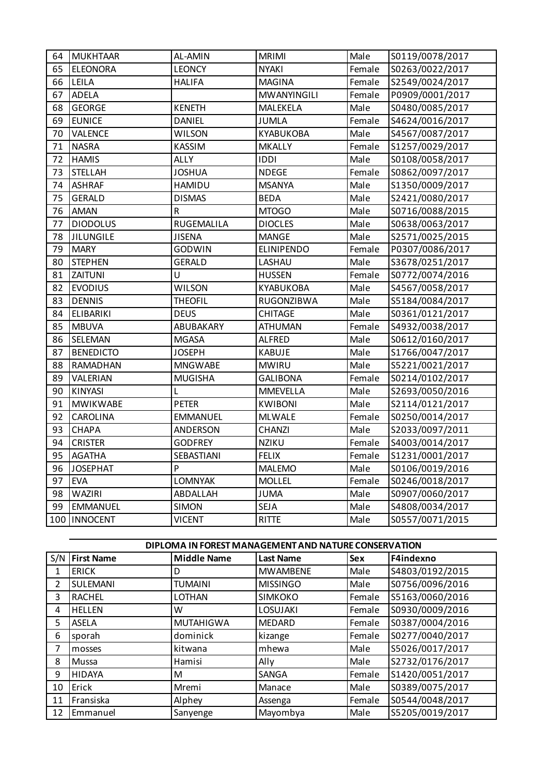| 64 | <b>MUKHTAAR</b>  | AL-AMIN         | <b>MRIMI</b>      | Male   | S0119/0078/2017 |
|----|------------------|-----------------|-------------------|--------|-----------------|
| 65 | <b>ELEONORA</b>  | <b>LEONCY</b>   | <b>NYAKI</b>      | Female | S0263/0022/2017 |
| 66 | LEILA            | <b>HALIFA</b>   | <b>MAGINA</b>     | Female | S2549/0024/2017 |
| 67 | ADELA            |                 | MWANYINGILI       | Female | P0909/0001/2017 |
| 68 | <b>GEORGE</b>    | <b>KENETH</b>   | MALEKELA          | Male   | S0480/0085/2017 |
| 69 | <b>EUNICE</b>    | DANIEL          | <b>JUMLA</b>      | Female | S4624/0016/2017 |
| 70 | VALENCE          | <b>WILSON</b>   | KYABUKOBA         | Male   | S4567/0087/2017 |
| 71 | <b>NASRA</b>     | KASSIM          | <b>MKALLY</b>     | Female | S1257/0029/2017 |
| 72 | <b>HAMIS</b>     | <b>ALLY</b>     | <b>IDDI</b>       | Male   | S0108/0058/2017 |
| 73 | <b>STELLAH</b>   | <b>JOSHUA</b>   | <b>NDEGE</b>      | Female | S0862/0097/2017 |
| 74 | <b>ASHRAF</b>    | HAMIDU          | <b>MSANYA</b>     | Male   | S1350/0009/2017 |
| 75 | <b>GERALD</b>    | <b>DISMAS</b>   | <b>BEDA</b>       | Male   | S2421/0080/2017 |
| 76 | AMAN             | R               | MTOGO             | Male   | S0716/0088/2015 |
| 77 | <b>DIODOLUS</b>  | RUGEMALILA      | <b>DIOCLES</b>    | Male   | S0638/0063/2017 |
| 78 | <b>JILUNGILE</b> | <b>JISENA</b>   | <b>MANGE</b>      | Male   | S2571/0025/2015 |
| 79 | <b>MARY</b>      | <b>GODWIN</b>   | <b>ELINIPENDO</b> | Female | P0307/0086/2017 |
| 80 | <b>STEPHEN</b>   | GERALD          | LASHAU            | Male   | S3678/0251/2017 |
| 81 | ZAITUNI          | Ù               | <b>HUSSEN</b>     | Female | S0772/0074/2016 |
| 82 | <b>EVODIUS</b>   | <b>WILSON</b>   | KYABUKOBA         | Male   | S4567/0058/2017 |
| 83 | <b>DENNIS</b>    | <b>THEOFIL</b>  | RUGONZIBWA        | Male   | S5184/0084/2017 |
| 84 | <b>ELIBARIKI</b> | <b>DEUS</b>     | CHITAGE           | Male   | S0361/0121/2017 |
| 85 | <b>MBUVA</b>     | ABUBAKARY       | ATHUMAN           | Female | S4932/0038/2017 |
| 86 | SELEMAN          | <b>MGASA</b>    | <b>ALFRED</b>     | Male   | S0612/0160/2017 |
| 87 | <b>BENEDICTO</b> | <b>JOSEPH</b>   | KABUJE            | Male   | S1766/0047/2017 |
| 88 | RAMADHAN         | <b>MNGWABE</b>  | <b>MWIRU</b>      | Male   | S5221/0021/2017 |
| 89 | VALERIAN         | <b>MUGISHA</b>  | <b>GALIBONA</b>   | Female | S0214/0102/2017 |
| 90 | <b>KINYASI</b>   | L               | MMEVELLA          | Male   | S2693/0050/2016 |
| 91 | <b>MWIKWABE</b>  | <b>PETER</b>    | <b>KWIBONI</b>    | Male   | S2114/0121/2017 |
| 92 | CAROLINA         | <b>EMMANUEL</b> | <b>MLWALE</b>     | Female | S0250/0014/2017 |
| 93 | <b>CHAPA</b>     | <b>ANDERSON</b> | CHANZI            | Male   | S2033/0097/2011 |
| 94 | <b>CRISTER</b>   | <b>GODFREY</b>  | <b>NZIKU</b>      | Female | S4003/0014/2017 |
| 95 | <b>AGATHA</b>    | SEBASTIANI      | <b>FELIX</b>      | Female | S1231/0001/2017 |
| 96 | <b>JOSEPHAT</b>  | P               | <b>MALEMO</b>     | Male   | S0106/0019/2016 |
| 97 | <b>EVA</b>       | LOMNYAK         | <b>MOLLEL</b>     | Female | S0246/0018/2017 |
| 98 | WAZIRI           | ABDALLAH        | <b>JUMA</b>       | Male   | S0907/0060/2017 |
| 99 | <b>EMMANUEL</b>  | <b>SIMON</b>    | SEJA              | Male   | S4808/0034/2017 |
|    | 100   INNOCENT   | <b>VICENT</b>   | RITTE             | Male   | S0557/0071/2015 |

|     | DIPLOMA IN FOREST MANAGEMENT AND NATURE CONSERVATION |                    |                  |            |                 |  |  |
|-----|------------------------------------------------------|--------------------|------------------|------------|-----------------|--|--|
| S/N | <b>First Name</b>                                    | <b>Middle Name</b> | <b>Last Name</b> | <b>Sex</b> | F4indexno       |  |  |
| 1   | <b>ERICK</b>                                         | D                  | <b>MWAMBENE</b>  | Male       | S4803/0192/2015 |  |  |
| 2   | SULEMANI                                             | <b>TUMAINI</b>     | <b>MISSINGO</b>  | Male       | S0756/0096/2016 |  |  |
| 3   | <b>RACHEL</b>                                        | <b>LOTHAN</b>      | <b>SIMKOKO</b>   | Female     | S5163/0060/2016 |  |  |
| 4   | <b>HELLEN</b>                                        | W                  | LOSUJAKI         | Female     | S0930/0009/2016 |  |  |
| 5   | <b>ASELA</b>                                         | <b>MUTAHIGWA</b>   | <b>MEDARD</b>    | Female     | S0387/0004/2016 |  |  |
| 6   | sporah                                               | dominick           | kizange          | Female     | S0277/0040/2017 |  |  |
| 7   | mosses                                               | kitwana            | mhewa            | Male       | S5026/0017/2017 |  |  |
| 8   | Mussa                                                | Hamisi             | Ally             | Male       | S2732/0176/2017 |  |  |
| 9   | <b>HIDAYA</b>                                        | M                  | SANGA            | Female     | S1420/0051/2017 |  |  |
| 10  | Erick                                                | Mremi              | Manace           | Male       | S0389/0075/2017 |  |  |
| 11  | Fransiska                                            | Alphey             | Assenga          | Female     | S0544/0048/2017 |  |  |
| 12  | Emmanuel                                             | Sanyenge           | Mayombya         | Male       | S5205/0019/2017 |  |  |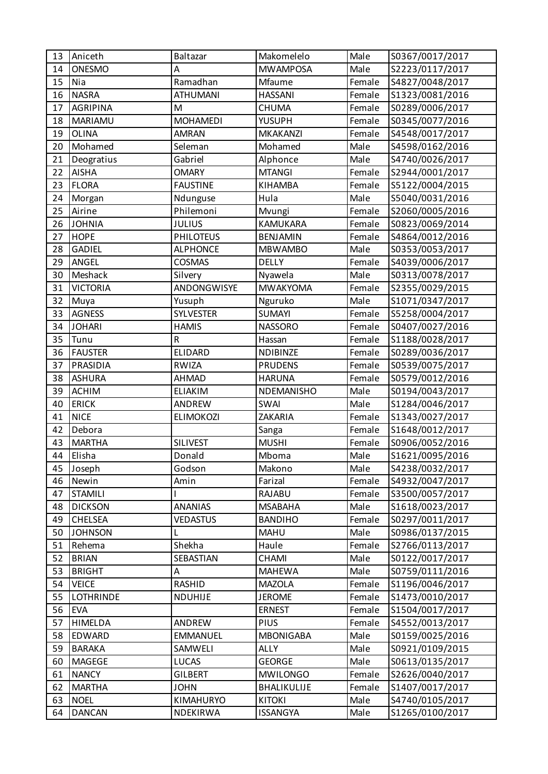| 13 | Aniceth          | Baltazar         | Makomelelo        | Male   | S0367/0017/2017 |
|----|------------------|------------------|-------------------|--------|-----------------|
| 14 | ONESMO           | A                | <b>MWAMPOSA</b>   | Male   | S2223/0117/2017 |
| 15 | Nia              | Ramadhan         | Mfaume            | Female | S4827/0048/2017 |
| 16 | <b>NASRA</b>     | <b>ATHUMANI</b>  | <b>HASSANI</b>    | Female | S1323/0081/2016 |
| 17 | <b>AGRIPINA</b>  | M                | CHUMA             | Female | S0289/0006/2017 |
| 18 | <b>MARIAMU</b>   | <b>MOHAMEDI</b>  | <b>YUSUPH</b>     | Female | S0345/0077/2016 |
| 19 | <b>OLINA</b>     | <b>AMRAN</b>     | <b>MKAKANZI</b>   | Female | S4548/0017/2017 |
| 20 | Mohamed          | Seleman          | Mohamed           | Male   | S4598/0162/2016 |
| 21 | Deogratius       | Gabriel          | Alphonce          | Male   | S4740/0026/2017 |
| 22 | <b>AISHA</b>     | <b>OMARY</b>     | <b>MTANGI</b>     | Female | S2944/0001/2017 |
| 23 | <b>FLORA</b>     | <b>FAUSTINE</b>  | KIHAMBA           | Female | S5122/0004/2015 |
| 24 | Morgan           | Ndunguse         | Hula              | Male   | S5040/0031/2016 |
| 25 | Airine           | Philemoni        | Mvungi            | Female | S2060/0005/2016 |
| 26 | <b>JOHNIA</b>    | <b>JULIUS</b>    | <b>KAMUKARA</b>   | Female | S0823/0069/2014 |
| 27 | <b>HOPE</b>      | <b>PHILOTEUS</b> | <b>BENJAMIN</b>   | Female | S4864/0012/2016 |
| 28 | <b>GADIEL</b>    | <b>ALPHONCE</b>  | <b>MBWAMBO</b>    | Male   | S0353/0053/2017 |
| 29 | ANGEL            | <b>COSMAS</b>    | <b>DELLY</b>      | Female | S4039/0006/2017 |
| 30 | Meshack          | Silvery          | Nyawela           | Male   | S0313/0078/2017 |
| 31 | <b>VICTORIA</b>  | ANDONGWISYE      | <b>MWAKYOMA</b>   | Female | S2355/0029/2015 |
| 32 | Muya             | Yusuph           | Nguruko           | Male   | S1071/0347/2017 |
| 33 | <b>AGNESS</b>    | SYLVESTER        | <b>SUMAYI</b>     | Female | S5258/0004/2017 |
| 34 | <b>JOHARI</b>    | <b>HAMIS</b>     | <b>NASSORO</b>    | Female | S0407/0027/2016 |
| 35 | Tunu             | R                | Hassan            | Female | S1188/0028/2017 |
| 36 | <b>FAUSTER</b>   | ELIDARD          | <b>NDIBINZE</b>   | Female | S0289/0036/2017 |
| 37 | PRASIDIA         | <b>RWIZA</b>     | <b>PRUDENS</b>    | Female | S0539/0075/2017 |
| 38 | <b>ASHURA</b>    | AHMAD            | <b>HARUNA</b>     | Female | S0579/0012/2016 |
| 39 | <b>ACHIM</b>     | <b>ELIAKIM</b>   | <b>NDEMANISHO</b> | Male   | S0194/0043/2017 |
| 40 | <b>ERICK</b>     | ANDREW           | SWAI              | Male   | S1284/0046/2017 |
| 41 | <b>NICE</b>      | <b>ELIMOKOZI</b> | ZAKARIA           | Female | S1343/0027/2017 |
| 42 | Debora           |                  | Sanga             | Female | S1648/0012/2017 |
| 43 | <b>MARTHA</b>    | <b>SILIVEST</b>  | <b>MUSHI</b>      | Female | S0906/0052/2016 |
| 44 | Elisha           | Donald           | Mboma             | Male   | S1621/0095/2016 |
| 45 |                  |                  |                   |        |                 |
|    | Joseph           | Godson           | Makono            | Male   | S4238/0032/2017 |
| 46 | Newin            | Amin             | Farizal           | Female | S4932/0047/2017 |
| 47 | <b>STAMILI</b>   |                  | RAJABU            | Female | S3500/0057/2017 |
| 48 | <b>DICKSON</b>   | <b>ANANIAS</b>   | <b>MSABAHA</b>    | Male   | S1618/0023/2017 |
| 49 | <b>CHELSEA</b>   | <b>VEDASTUS</b>  | <b>BANDIHO</b>    | Female | S0297/0011/2017 |
| 50 | <b>JOHNSON</b>   | L                | <b>MAHU</b>       | Male   | S0986/0137/2015 |
| 51 | Rehema           | Shekha           | Haule             | Female | S2766/0113/2017 |
| 52 | <b>BRIAN</b>     | SEBASTIAN        | <b>CHAMI</b>      | Male   | S0122/0017/2017 |
| 53 | <b>BRIGHT</b>    | A                | <b>MAHEWA</b>     | Male   | S0759/0111/2016 |
| 54 | <b>VEICE</b>     | RASHID           | <b>MAZOLA</b>     | Female | S1196/0046/2017 |
| 55 | <b>LOTHRINDE</b> | NDUHIJE          | <b>JEROME</b>     | Female | S1473/0010/2017 |
| 56 | <b>EVA</b>       |                  | <b>ERNEST</b>     | Female | S1504/0017/2017 |
| 57 | HIMELDA          | ANDREW           | PIUS              | Female | S4552/0013/2017 |
| 58 | EDWARD           | <b>EMMANUEL</b>  | <b>MBONIGABA</b>  | Male   | S0159/0025/2016 |
| 59 | <b>BARAKA</b>    | SAMWELI          | <b>ALLY</b>       | Male   | S0921/0109/2015 |
| 60 | MAGEGE           | LUCAS            | <b>GEORGE</b>     | Male   | S0613/0135/2017 |
| 61 | <b>NANCY</b>     | <b>GILBERT</b>   | <b>MWILONGO</b>   | Female | S2626/0040/2017 |
| 62 | <b>MARTHA</b>    | <b>JOHN</b>      | BHALIKULIJE       | Female | S1407/0017/2017 |
| 63 | <b>NOEL</b>      | KIMAHURYO        | <b>KITOKI</b>     | Male   | S4740/0105/2017 |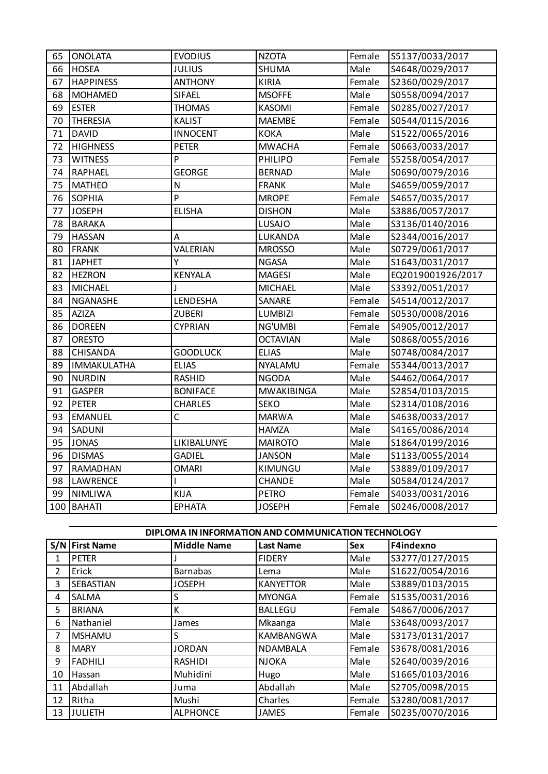| 65 | <b>ONOLATA</b>   | <b>EVODIUS</b>  | <b>NZOTA</b>      | Female | S5137/0033/2017   |
|----|------------------|-----------------|-------------------|--------|-------------------|
| 66 | <b>HOSEA</b>     | <b>JULIUS</b>   | SHUMA             | Male   | S4648/0029/2017   |
| 67 | <b>HAPPINESS</b> | <b>ANTHONY</b>  | <b>KIRIA</b>      | Female | S2360/0029/2017   |
| 68 | <b>MOHAMED</b>   | SIFAEL          | <b>MSOFFE</b>     | Male   | S0558/0094/2017   |
| 69 | <b>ESTER</b>     | <b>THOMAS</b>   | <b>KASOMI</b>     | Female | S0285/0027/2017   |
| 70 | <b>THERESIA</b>  | <b>KALIST</b>   | <b>MAEMBE</b>     | Female | S0544/0115/2016   |
| 71 | <b>DAVID</b>     | <b>INNOCENT</b> | <b>KOKA</b>       | Male   | S1522/0065/2016   |
| 72 | <b>HIGHNESS</b>  | <b>PETER</b>    | <b>MWACHA</b>     | Female | S0663/0033/2017   |
| 73 | <b>WITNESS</b>   | P               | PHILIPO           | Female | S5258/0054/2017   |
| 74 | <b>RAPHAEL</b>   | <b>GEORGE</b>   | <b>BERNAD</b>     | Male   | S0690/0079/2016   |
| 75 | <b>MATHEO</b>    | N               | <b>FRANK</b>      | Male   | S4659/0059/2017   |
| 76 | <b>SOPHIA</b>    | $\overline{P}$  | <b>MROPE</b>      | Female | S4657/0035/2017   |
| 77 | <b>JOSEPH</b>    | <b>ELISHA</b>   | <b>DISHON</b>     | Male   | S3886/0057/2017   |
| 78 | <b>BARAKA</b>    |                 | <b>LUSAJO</b>     | Male   | S3136/0140/2016   |
| 79 | <b>HASSAN</b>    | А               | LUKANDA           | Male   | S2344/0016/2017   |
| 80 | <b>FRANK</b>     | VALERIAN        | <b>MROSSO</b>     | Male   | S0729/0061/2017   |
| 81 | <b>JAPHET</b>    | Υ               | <b>NGASA</b>      | Male   | S1643/0031/2017   |
| 82 | <b>HEZRON</b>    | KENYALA         | <b>MAGESI</b>     | Male   | EQ2019001926/2017 |
| 83 | <b>MICHAEL</b>   | J               | <b>MICHAEL</b>    | Male   | S3392/0051/2017   |
| 84 | NGANASHE         | LENDESHA        | SANARE            | Female | S4514/0012/2017   |
| 85 | <b>AZIZA</b>     | <b>ZUBERI</b>   | <b>LUMBIZI</b>    | Female | S0530/0008/2016   |
| 86 | <b>DOREEN</b>    | <b>CYPRIAN</b>  | NG'UMBI           | Female | S4905/0012/2017   |
| 87 | <b>ORESTO</b>    |                 | <b>OCTAVIAN</b>   | Male   | S0868/0055/2016   |
| 88 | <b>CHISANDA</b>  | <b>GOODLUCK</b> | <b>ELIAS</b>      | Male   | S0748/0084/2017   |
| 89 | IMMAKULATHA      | <b>ELIAS</b>    | NYALAMU           | Female | S5344/0013/2017   |
| 90 | <b>NURDIN</b>    | <b>RASHID</b>   | <b>NGODA</b>      | Male   | S4462/0064/2017   |
| 91 | <b>GASPER</b>    | <b>BONIFACE</b> | <b>MWAKIBINGA</b> | Male   | S2854/0103/2015   |
| 92 | <b>PETER</b>     | <b>CHARLES</b>  | <b>SEKO</b>       | Male   | S2314/0108/2016   |
| 93 | <b>EMANUEL</b>   | C               | <b>MARWA</b>      | Male   | S4638/0033/2017   |
| 94 | SADUNI           |                 | <b>HAMZA</b>      | Male   | S4165/0086/2014   |
| 95 | <b>JONAS</b>     | LIKIBALUNYE     | <b>MAIROTO</b>    | Male   | S1864/0199/2016   |
| 96 | <b>DISMAS</b>    | <b>GADIEL</b>   | <b>JANSON</b>     | Male   | S1133/0055/2014   |
| 97 | RAMADHAN         | <b>OMARI</b>    | KIMUNGU           | Male   | S3889/0109/2017   |
| 98 | <b>LAWRENCE</b>  |                 | <b>CHANDE</b>     | Male   | S0584/0124/2017   |
| 99 | <b>NIMLIWA</b>   | KIJA            | <b>PETRO</b>      | Female | S4033/0031/2016   |
|    | 100 BAHATI       | <b>EPHATA</b>   | <b>JOSEPH</b>     | Female | S0246/0008/2017   |

|                | DIPLOMA IN INFORMATION AND COMMUNICATION TECHNOLOGY |                    |                  |        |                 |  |  |
|----------------|-----------------------------------------------------|--------------------|------------------|--------|-----------------|--|--|
|                | S/N First Name                                      | <b>Middle Name</b> | <b>Last Name</b> | Sex    | F4indexno       |  |  |
| 1              | <b>PETER</b>                                        |                    | <b>FIDERY</b>    | Male   | S3277/0127/2015 |  |  |
| $\overline{2}$ | Erick                                               | <b>Barnabas</b>    | Lema             | Male   | S1622/0054/2016 |  |  |
| 3              | SEBASTIAN                                           | <b>JOSEPH</b>      | <b>KANYETTOR</b> | Male   | S3889/0103/2015 |  |  |
| 4              | SALMA                                               | S                  | <b>MYONGA</b>    | Female | S1535/0031/2016 |  |  |
| 5              | <b>BRIANA</b>                                       | К                  | <b>BALLEGU</b>   | Female | S4867/0006/2017 |  |  |
| 6              | Nathaniel                                           | James              | Mkaanga          | Male   | S3648/0093/2017 |  |  |
| 7              | <b>MSHAMU</b>                                       | S                  | KAMBANGWA        | Male   | S3173/0131/2017 |  |  |
| 8              | <b>MARY</b>                                         | <b>JORDAN</b>      | NDAMBALA         | Female | S3678/0081/2016 |  |  |
| 9              | <b>FADHILI</b>                                      | <b>RASHIDI</b>     | <b>NJOKA</b>     | Male   | S2640/0039/2016 |  |  |
| 10             | Hassan                                              | Muhidini           | Hugo             | Male   | S1665/0103/2016 |  |  |
| 11             | Abdallah                                            | Juma               | Abdallah         | Male   | S2705/0098/2015 |  |  |
| 12             | Ritha                                               | Mushi              | Charles          | Female | S3280/0081/2017 |  |  |
| 13             | <b>JULIETH</b>                                      | <b>ALPHONCE</b>    | <b>JAMES</b>     | Female | S0235/0070/2016 |  |  |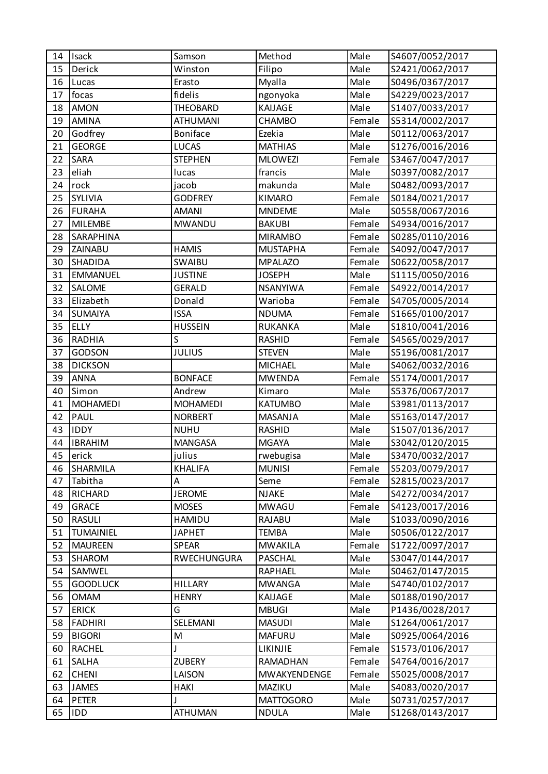| 14 | <b>Isack</b>     | Samson          | Method           | Male   | S4607/0052/2017 |
|----|------------------|-----------------|------------------|--------|-----------------|
| 15 | Derick           | Winston         | Filipo           | Male   | S2421/0062/2017 |
| 16 | Lucas            | Erasto          | Myalla           | Male   | S0496/0367/2017 |
| 17 | focas            | fidelis         | ngonyoka         | Male   | S4229/0023/2017 |
| 18 | <b>AMON</b>      | <b>THEOBARD</b> | KAIJAGE          | Male   | S1407/0033/2017 |
| 19 | AMINA            | <b>ATHUMANI</b> | CHAMBO           | Female | S5314/0002/2017 |
| 20 | Godfrey          | Boniface        | Ezekia           | Male   | S0112/0063/2017 |
| 21 | <b>GEORGE</b>    | <b>LUCAS</b>    | <b>MATHIAS</b>   | Male   | S1276/0016/2016 |
| 22 | SARA             | <b>STEPHEN</b>  | <b>MLOWEZI</b>   | Female | S3467/0047/2017 |
| 23 | eliah            | lucas           | francis          | Male   | S0397/0082/2017 |
| 24 | rock             | jacob           | makunda          | Male   | S0482/0093/2017 |
| 25 | SYLIVIA          | <b>GODFREY</b>  | <b>KIMARO</b>    | Female | S0184/0021/2017 |
| 26 | <b>FURAHA</b>    | <b>AMANI</b>    | <b>MNDEME</b>    | Male   | S0558/0067/2016 |
| 27 | <b>MILEMBE</b>   | <b>MWANDU</b>   | <b>BAKUBI</b>    | Female | S4934/0016/2017 |
| 28 | SARAPHINA        |                 | <b>MIRAMBO</b>   | Female | S0285/0110/2016 |
| 29 | ZAINABU          | <b>HAMIS</b>    | <b>MUSTAPHA</b>  | Female | S4092/0047/2017 |
| 30 | SHADIDA          | <b>SWAIBU</b>   | <b>MPALAZO</b>   | Female | S0622/0058/2017 |
| 31 | <b>EMMANUEL</b>  | <b>JUSTINE</b>  | <b>JOSEPH</b>    | Male   | S1115/0050/2016 |
| 32 | SALOME           | <b>GERALD</b>   | <b>NSANYIWA</b>  | Female | S4922/0014/2017 |
| 33 | Elizabeth        | Donald          | Warioba          | Female | S4705/0005/2014 |
| 34 | <b>SUMAIYA</b>   | <b>ISSA</b>     | <b>NDUMA</b>     | Female | S1665/0100/2017 |
| 35 | <b>ELLY</b>      | <b>HUSSEIN</b>  | <b>RUKANKA</b>   | Male   | S1810/0041/2016 |
| 36 | <b>RADHIA</b>    | S               | <b>RASHID</b>    | Female | S4565/0029/2017 |
| 37 | GODSON           | <b>JULIUS</b>   | <b>STEVEN</b>    | Male   | S5196/0081/2017 |
| 38 | <b>DICKSON</b>   |                 | <b>MICHAEL</b>   | Male   | S4062/0032/2016 |
| 39 | <b>ANNA</b>      | <b>BONFACE</b>  | <b>MWENDA</b>    | Female | S5174/0001/2017 |
| 40 | Simon            | Andrew          | Kimaro           | Male   | S5376/0067/2017 |
| 41 | <b>MOHAMEDI</b>  | <b>MOHAMEDI</b> | <b>KATUMBO</b>   | Male   | S3981/0113/2017 |
| 42 | <b>PAUL</b>      | <b>NORBERT</b>  | <b>MASANJA</b>   | Male   | S5163/0147/2017 |
| 43 | <b>IDDY</b>      | <b>NUHU</b>     | RASHID           | Male   | S1507/0136/2017 |
| 44 | <b>IBRAHIM</b>   | <b>MANGASA</b>  | <b>MGAYA</b>     | Male   | S3042/0120/2015 |
| 45 | erick            | julius          | rwebugisa        | Male   | S3470/0032/2017 |
| 46 | SHARMILA         | <b>KHALIFA</b>  | <b>MUNISI</b>    | Female | S5203/0079/2017 |
| 47 | Tabitha          | Α               | Seme             | Female | S2815/0023/2017 |
| 48 | RICHARD          | <b>JEROME</b>   | <b>NJAKE</b>     | Male   | S4272/0034/2017 |
| 49 | <b>GRACE</b>     | <b>MOSES</b>    | <b>MWAGU</b>     | Female | S4123/0017/2016 |
| 50 | <b>RASULI</b>    | <b>HAMIDU</b>   | RAJABU           | Male   | S1033/0090/2016 |
| 51 | <b>TUMAINIEL</b> | <b>JAPHET</b>   | <b>TEMBA</b>     | Male   | S0506/0122/2017 |
| 52 | <b>MAUREEN</b>   | <b>SPEAR</b>    | <b>MWAKILA</b>   | Female | S1722/0097/2017 |
| 53 | SHAROM           | RWECHUNGURA     | <b>PASCHAL</b>   | Male   | S3047/0144/2017 |
| 54 | SAMWEL           |                 | <b>RAPHAEL</b>   | Male   | S0462/0147/2015 |
| 55 | <b>GOODLUCK</b>  | <b>HILLARY</b>  | <b>MWANGA</b>    | Male   | S4740/0102/2017 |
| 56 | <b>OMAM</b>      | <b>HENRY</b>    | KAIJAGE          | Male   | S0188/0190/2017 |
| 57 | <b>ERICK</b>     | G               | <b>MBUGI</b>     | Male   | P1436/0028/2017 |
| 58 | <b>FADHIRI</b>   | SELEMANI        | <b>MASUDI</b>    | Male   | S1264/0061/2017 |
| 59 | <b>BIGORI</b>    | M               | <b>MAFURU</b>    | Male   | S0925/0064/2016 |
| 60 | <b>RACHEL</b>    |                 | LIKINJIE         | Female | S1573/0106/2017 |
| 61 | SALHA            | <b>ZUBERY</b>   | RAMADHAN         | Female | S4764/0016/2017 |
| 62 | <b>CHENI</b>     | LAISON          | MWAKYENDENGE     | Female | S5025/0008/2017 |
| 63 | <b>JAMES</b>     | <b>HAKI</b>     | MAZIKU           | Male   | S4083/0020/2017 |
| 64 | <b>PETER</b>     |                 | <b>MATTOGORO</b> | Male   | S0731/0257/2017 |
| 65 | <b>IDD</b>       | <b>ATHUMAN</b>  | <b>NDULA</b>     | Male   | S1268/0143/2017 |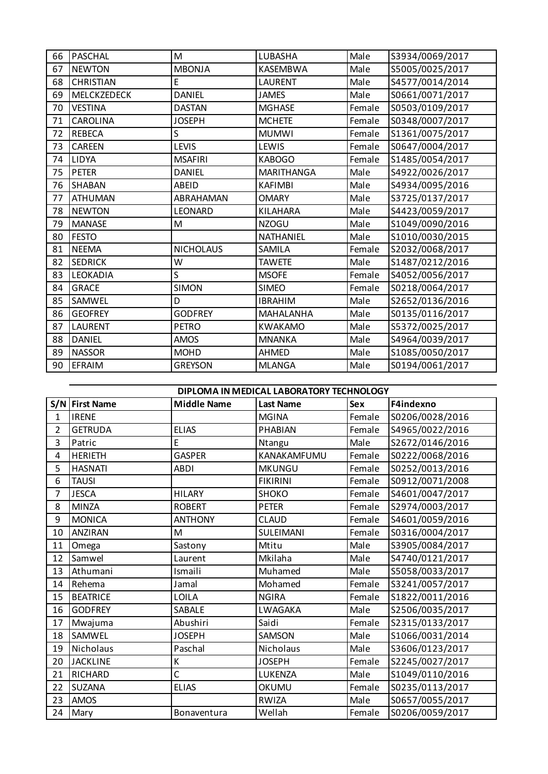| 66 | <b>PASCHAL</b>   | M                | LUBASHA           | Male   | S3934/0069/2017 |
|----|------------------|------------------|-------------------|--------|-----------------|
| 67 | <b>NEWTON</b>    | <b>MBONJA</b>    | KASEMBWA          | Male   | S5005/0025/2017 |
| 68 | <b>CHRISTIAN</b> | E                | LAURENT           | Male   | S4577/0014/2014 |
| 69 | MELCKZEDECK      | <b>DANIEL</b>    | <b>JAMES</b>      | Male   | S0661/0071/2017 |
| 70 | <b>VESTINA</b>   | <b>DASTAN</b>    | <b>MGHASE</b>     | Female | S0503/0109/2017 |
| 71 | CAROLINA         | <b>JOSEPH</b>    | <b>MCHETE</b>     | Female | S0348/0007/2017 |
| 72 | <b>REBECA</b>    | S                | <b>MUMWI</b>      | Female | S1361/0075/2017 |
| 73 | <b>CAREEN</b>    | <b>LEVIS</b>     | LEWIS             | Female | S0647/0004/2017 |
| 74 | LIDYA            | <b>MSAFIRI</b>   | <b>KABOGO</b>     | Female | S1485/0054/2017 |
| 75 | <b>PETER</b>     | <b>DANIEL</b>    | <b>MARITHANGA</b> | Male   | S4922/0026/2017 |
| 76 | <b>SHABAN</b>    | <b>ABEID</b>     | <b>KAFIMBI</b>    | Male   | S4934/0095/2016 |
| 77 | <b>ATHUMAN</b>   | ABRAHAMAN        | <b>OMARY</b>      | Male   | S3725/0137/2017 |
| 78 | <b>NEWTON</b>    | LEONARD          | KILAHARA          | Male   | S4423/0059/2017 |
| 79 | <b>MANASE</b>    | M                | <b>NZOGU</b>      | Male   | S1049/0090/2016 |
| 80 | <b>FESTO</b>     |                  | NATHANIEL         | Male   | S1010/0030/2015 |
| 81 | <b>NEEMA</b>     | <b>NICHOLAUS</b> | SAMILA            | Female | S2032/0068/2017 |
| 82 | <b>SEDRICK</b>   | W                | <b>TAWETE</b>     | Male   | S1487/0212/2016 |
| 83 | LEOKADIA         | S                | <b>MSOFE</b>      | Female | S4052/0056/2017 |
| 84 | <b>GRACE</b>     | <b>SIMON</b>     | <b>SIMEO</b>      | Female | S0218/0064/2017 |
| 85 | SAMWEL           | D                | <b>IBRAHIM</b>    | Male   | S2652/0136/2016 |
| 86 | <b>GEOFREY</b>   | <b>GODFREY</b>   | MAHALANHA         | Male   | S0135/0116/2017 |
| 87 | <b>LAURENT</b>   | <b>PETRO</b>     | <b>KWAKAMO</b>    | Male   | S5372/0025/2017 |
| 88 | <b>DANIEL</b>    | <b>AMOS</b>      | <b>MNANKA</b>     | Male   | S4964/0039/2017 |
| 89 | <b>NASSOR</b>    | <b>MOHD</b>      | <b>AHMED</b>      | Male   | S1085/0050/2017 |
| 90 | <b>EFRAIM</b>    | <b>GREYSON</b>   | <b>MLANGA</b>     | Male   | S0194/0061/2017 |

**S/N First Name Middle Name Last Name Sex F4indexno** 1 |IRENE | MGINA Female |S0206/0028/2016 2 GETRUDA ELIAS PHABIAN Female S4965/0022/2016 3 Patric 2016 | E | Ntangu | Male | S2672/0146/2016 4 |HERIETH | GASPER | KANAKAMFUMU | Female | S0222/0068/2016 HASNATI ABDI MKUNGU Female S0252/0013/2016 TAUSI FIKIRINI Female S0912/0071/2008 7 JESCA | HILARY | SHOKO | Female S4601/0047/2017 MINZA ROBERT PETER Female S2974/0003/2017 9 | MONICA | ANTHONY | CLAUD | Female | S4601/0059/2016 10 | ANZIRAN | M | SULEIMANI | Female | S0316/0004/2017 11 | Omega | Sastony | Mtitu | Male | S3905/0084/2017 Samwel Laurent Mkilaha Male S4740/0121/2017 13 Athumani | Ismaili | Muhamed | Male | S5058/0033/2017 Rehema Jamal Mohamed Female S3241/0057/2017 BEATRICE LOILA NGIRA Female S1822/0011/2016 16 GODFREY SABALE LWAGAKA Male S2506/0035/2017 17 Mwajuma | Abushiri | Saidi | Female | S2315/0133/2017 SAMWEL JOSEPH SAMSON Male S1066/0031/2014 19 Nicholaus Paschal Nicholaus Male S3606/0123/2017 JACKLINE K JOSEPH Female S2245/0027/2017 RICHARD C LUKENZA Male S1049/0110/2016 SUZANA ELIAS OKUMU Female S0235/0113/2017 AMOS RWIZA Male S0657/0055/2017 Mary Bonaventura Wellah Female S0206/0059/2017 **DIPLOMA IN MEDICAL LABORATORY TECHNOLOGY**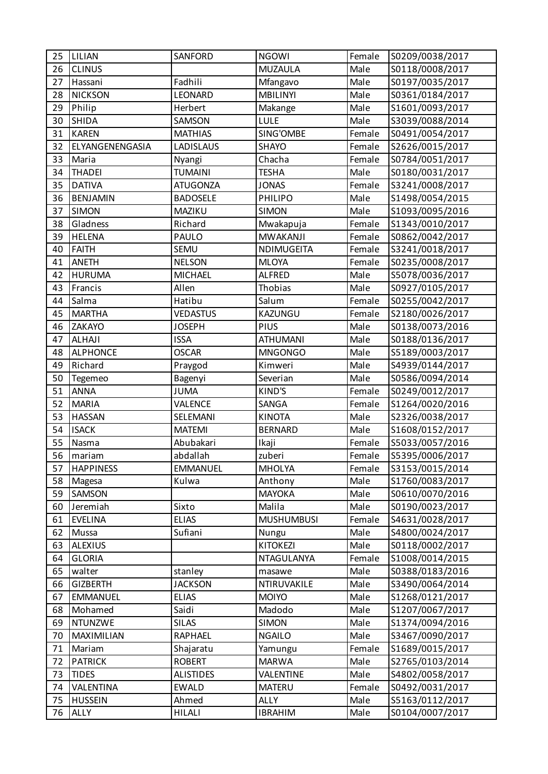| 25 | LILIAN           | <b>SANFORD</b>   | <b>NGOWI</b>      | Female | S0209/0038/2017 |
|----|------------------|------------------|-------------------|--------|-----------------|
| 26 | <b>CLINUS</b>    |                  | <b>MUZAULA</b>    | Male   | S0118/0008/2017 |
| 27 | Hassani          | Fadhili          | Mfangavo          | Male   | S0197/0035/2017 |
| 28 | <b>NICKSON</b>   | <b>LEONARD</b>   | <b>MBILINYI</b>   | Male   | S0361/0184/2017 |
| 29 | Philip           | Herbert          | Makange           | Male   | S1601/0093/2017 |
| 30 | <b>SHIDA</b>     | SAMSON           | LULE              | Male   | S3039/0088/2014 |
| 31 | <b>KAREN</b>     | <b>MATHIAS</b>   | SING'OMBE         | Female | S0491/0054/2017 |
| 32 | ELYANGENENGASIA  | LADISLAUS        | SHAYO             | Female | S2626/0015/2017 |
| 33 | Maria            | Nyangi           | Chacha            | Female | S0784/0051/2017 |
| 34 | <b>THADEI</b>    | <b>TUMAINI</b>   | <b>TESHA</b>      | Male   | S0180/0031/2017 |
| 35 | <b>DATIVA</b>    | <b>ATUGONZA</b>  | <b>JONAS</b>      | Female | S3241/0008/2017 |
| 36 | <b>BENJAMIN</b>  | <b>BADOSELE</b>  | <b>PHILIPO</b>    | Male   | S1498/0054/2015 |
| 37 | <b>SIMON</b>     | MAZIKU           | <b>SIMON</b>      | Male   | S1093/0095/2016 |
| 38 | Gladness         | Richard          | Mwakapuja         | Female | S1343/0010/2017 |
| 39 | <b>HELENA</b>    | PAULO            | <b>MWAKANJI</b>   | Female | S0862/0042/2017 |
| 40 | <b>FAITH</b>     | SEMU             | NDIMUGEITA        | Female | S3241/0018/2017 |
| 41 | <b>ANETH</b>     | <b>NELSON</b>    | <b>MLOYA</b>      | Female | S0235/0008/2017 |
| 42 | <b>HURUMA</b>    | <b>MICHAEL</b>   | <b>ALFRED</b>     | Male   | S5078/0036/2017 |
| 43 | Francis          | Allen            | Thobias           | Male   | S0927/0105/2017 |
| 44 | Salma            | Hatibu           | Salum             | Female | S0255/0042/2017 |
| 45 | <b>MARTHA</b>    | <b>VEDASTUS</b>  | KAZUNGU           | Female | S2180/0026/2017 |
| 46 | ZAKAYO           | <b>JOSEPH</b>    | PIUS              | Male   | S0138/0073/2016 |
| 47 | <b>ALHAJI</b>    | <b>ISSA</b>      | <b>ATHUMANI</b>   | Male   | S0188/0136/2017 |
| 48 | <b>ALPHONCE</b>  | <b>OSCAR</b>     | <b>MNGONGO</b>    | Male   | S5189/0003/2017 |
| 49 | Richard          | Praygod          | Kimweri           | Male   | S4939/0144/2017 |
| 50 | Tegemeo          | Bagenyi          | Severian          | Male   | S0586/0094/2014 |
| 51 | <b>ANNA</b>      | <b>JUMA</b>      | KIND'S            | Female | S0249/0012/2017 |
| 52 | <b>MARIA</b>     | VALENCE          | SANGA             | Female | S1264/0020/2016 |
| 53 | <b>HASSAN</b>    | SELEMANI         | <b>KINOTA</b>     | Male   | S2326/0038/2017 |
| 54 | <b>ISACK</b>     | <b>MATEMI</b>    | <b>BERNARD</b>    | Male   | S1608/0152/2017 |
| 55 | Nasma            | Abubakari        | Ikaji             | Female | S5033/0057/2016 |
| 56 | mariam           | abdallah         | zuberi            | Female | S5395/0006/2017 |
| 57 | <b>HAPPINESS</b> | <b>EMMANUEL</b>  | <b>MHOLYA</b>     | Female | S3153/0015/2014 |
| 58 | Magesa           | Kulwa            | Anthony           | Male   | S1760/0083/2017 |
| 59 | SAMSON           |                  | <b>MAYOKA</b>     | Male   | S0610/0070/2016 |
| 60 | Jeremiah         | Sixto            | Malila            | Male   | S0190/0023/2017 |
| 61 | <b>EVELINA</b>   | <b>ELIAS</b>     | <b>MUSHUMBUSI</b> | Female | S4631/0028/2017 |
| 62 | Mussa            | Sufiani          | Nungu             | Male   | S4800/0024/2017 |
| 63 | <b>ALEXIUS</b>   |                  | <b>KITOKEZI</b>   | Male   | S0118/0002/2017 |
| 64 | <b>GLORIA</b>    |                  | NTAGULANYA        | Female | S1008/0014/2015 |
| 65 | walter           | stanley          | masawe            | Male   | S0388/0183/2016 |
| 66 | <b>GIZBERTH</b>  | <b>JACKSON</b>   | NTIRUVAKILE       | Male   | S3490/0064/2014 |
| 67 | <b>EMMANUEL</b>  | <b>ELIAS</b>     | <b>MOIYO</b>      | Male   | S1268/0121/2017 |
| 68 | Mohamed          | Saidi            | Madodo            | Male   | S1207/0067/2017 |
| 69 | <b>NTUNZWE</b>   | <b>SILAS</b>     | <b>SIMON</b>      | Male   | S1374/0094/2016 |
| 70 | MAXIMILIAN       | <b>RAPHAEL</b>   | <b>NGAILO</b>     | Male   | S3467/0090/2017 |
| 71 | Mariam           | Shajaratu        | Yamungu           | Female | S1689/0015/2017 |
| 72 | <b>PATRICK</b>   | <b>ROBERT</b>    | <b>MARWA</b>      | Male   | S2765/0103/2014 |
| 73 | <b>TIDES</b>     | <b>ALISTIDES</b> | VALENTINE         | Male   | S4802/0058/2017 |
| 74 | VALENTINA        | <b>EWALD</b>     | <b>MATERU</b>     | Female | S0492/0031/2017 |
| 75 | <b>HUSSEIN</b>   | Ahmed            | <b>ALLY</b>       | Male   | S5163/0112/2017 |
| 76 | ALLY             | <b>HILALI</b>    | <b>IBRAHIM</b>    | Male   | S0104/0007/2017 |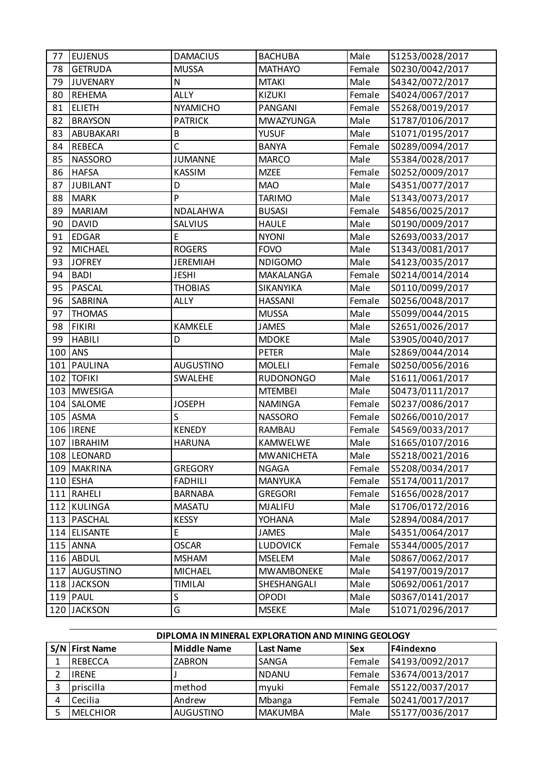| 77  | <b>EUJENUS</b>  | <b>DAMACIUS</b>  | <b>BACHUBA</b>    | Male   | S1253/0028/2017 |
|-----|-----------------|------------------|-------------------|--------|-----------------|
| 78  | <b>GETRUDA</b>  | <b>MUSSA</b>     | <b>MATHAYO</b>    | Female | S0230/0042/2017 |
| 79  | JUVENARY        | N                | <b>MTAKI</b>      | Male   | S4342/0072/2017 |
| 80  | <b>REHEMA</b>   | <b>ALLY</b>      | <b>KIZUKI</b>     | Female | S4024/0067/2017 |
| 81  | <b>ELIETH</b>   | <b>NYAMICHO</b>  | PANGANI           | Female | S5268/0019/2017 |
| 82  | <b>BRAYSON</b>  | <b>PATRICK</b>   | <b>MWAZYUNGA</b>  | Male   | S1787/0106/2017 |
| 83  | ABUBAKARI       | B                | <b>YUSUF</b>      | Male   | S1071/0195/2017 |
| 84  | <b>REBECA</b>   | $\overline{C}$   | <b>BANYA</b>      | Female | S0289/0094/2017 |
| 85  | <b>NASSORO</b>  | <b>JUMANNE</b>   | <b>MARCO</b>      | Male   | S5384/0028/2017 |
| 86  | <b>HAFSA</b>    | <b>KASSIM</b>    | <b>MZEE</b>       | Female | S0252/0009/2017 |
| 87  | <b>JUBILANT</b> | D                | <b>MAO</b>        | Male   | S4351/0077/2017 |
| 88  | <b>MARK</b>     | P                | <b>TARIMO</b>     | Male   | S1343/0073/2017 |
| 89  | <b>MARIAM</b>   | NDALAHWA         | <b>BUSASI</b>     | Female | S4856/0025/2017 |
| 90  | <b>DAVID</b>    | SALVIUS          | <b>HAULE</b>      | Male   | S0190/0009/2017 |
| 91  | <b>EDGAR</b>    | E                | <b>NYONI</b>      | Male   | S2693/0033/2017 |
| 92  | <b>MICHAEL</b>  | <b>ROGERS</b>    | <b>FOVO</b>       | Male   | S1343/0081/2017 |
| 93  | <b>JOFREY</b>   | <b>JEREMIAH</b>  | <b>NDIGOMO</b>    | Male   | S4123/0035/2017 |
| 94  | <b>BADI</b>     | <b>JESHI</b>     | MAKALANGA         | Female | S0214/0014/2014 |
| 95  | <b>PASCAL</b>   | <b>THOBIAS</b>   | SIKANYIKA         | Male   | S0110/0099/2017 |
| 96  | <b>SABRINA</b>  | <b>ALLY</b>      | <b>HASSANI</b>    | Female | S0256/0048/2017 |
| 97  | <b>THOMAS</b>   |                  | <b>MUSSA</b>      | Male   | S5099/0044/2015 |
| 98  | <b>FIKIRI</b>   | <b>KAMKELE</b>   | <b>JAMES</b>      | Male   | S2651/0026/2017 |
| 99  | <b>HABILI</b>   | D                | <b>MDOKE</b>      | Male   | S3905/0040/2017 |
| 100 | <b>ANS</b>      |                  | <b>PETER</b>      | Male   | S2869/0044/2014 |
| 101 | PAULINA         | <b>AUGUSTINO</b> | <b>MOLELI</b>     | Female | S0250/0056/2016 |
|     | 102 TOFIKI      | <b>SWALEHE</b>   | <b>RUDONONGO</b>  | Male   | S1611/0061/2017 |
|     | 103 MWESIGA     |                  | <b>MTEMBEI</b>    | Male   | S0473/0111/2017 |
|     | 104 SALOME      | <b>JOSEPH</b>    | <b>NAMINGA</b>    | Female | S0237/0086/2017 |
|     | $105$ ASMA      | S                | <b>NASSORO</b>    | Female | S0266/0010/2017 |
|     | 106   IRENE     | <b>KENEDY</b>    | <b>RAMBAU</b>     | Female | S4569/0033/2017 |
|     | 107 IBRAHIM     | <b>HARUNA</b>    | <b>KAMWELWE</b>   | Male   | S1665/0107/2016 |
|     | 108 LEONARD     |                  | <b>MWANICHETA</b> | Male   | S5218/0021/2016 |
|     | 109 MAKRINA     | <b>GREGORY</b>   | <b>NGAGA</b>      | Female | S5208/0034/2017 |
|     | $110$ ESHA      | <b>FADHILI</b>   | <b>MANYUKA</b>    | Female | S5174/0011/2017 |
|     | 111 RAHELI      | <b>BARNABA</b>   | <b>GREGORI</b>    | Female | S1656/0028/2017 |
|     | 112 KULINGA     | <b>MASATU</b>    | <b>MJALIFU</b>    | Male   | S1706/0172/2016 |
|     | 113   PASCHAL   | <b>KESSY</b>     | YOHANA            | Male   | S2894/0084/2017 |
|     | 114 ELISANTE    | E                | <b>JAMES</b>      | Male   | S4351/0064/2017 |
|     | 115 ANNA        | <b>OSCAR</b>     | <b>LUDOVICK</b>   | Female | S5344/0005/2017 |
|     | 116 ABDUL       | <b>MSHAM</b>     | <b>MSELEM</b>     | Male   | S0867/0062/2017 |
|     | 117 AUGUSTINO   | <b>MICHAEL</b>   | <b>MWAMBONEKE</b> | Male   | S4197/0019/2017 |
|     | 118 JACKSON     | <b>TIMILAI</b>   | SHESHANGALI       | Male   | S0692/0061/2017 |
|     | 119 PAUL        | S                | OPODI             | Male   | S0367/0141/2017 |
|     | 120 JACKSON     | G                | <b>MSEKE</b>      | Male   | S1071/0296/2017 |

## **DIPLOMA IN MINERAL EXPLORATION AND MINING GEOLOGY**

| S/N First Name  | Middle Name      | Last Name      | <b>Sex</b> | <b>F4indexno</b> |
|-----------------|------------------|----------------|------------|------------------|
| REBECCA         | <b>ZABRON</b>    | <b>SANGA</b>   | Female     | S4193/0092/2017  |
| <b>LIRENE</b>   |                  | <b>NDANU</b>   | Female     | S3674/0013/2017  |
| priscilla       | method           | myuki          | Female     | S5122/0037/2017  |
| Cecilia         | Andrew           | Mbanga         | Female     | S0241/0017/2017  |
| <b>MELCHIOR</b> | <b>AUGUSTINO</b> | <b>MAKUMBA</b> | Male       | S5177/0036/2017  |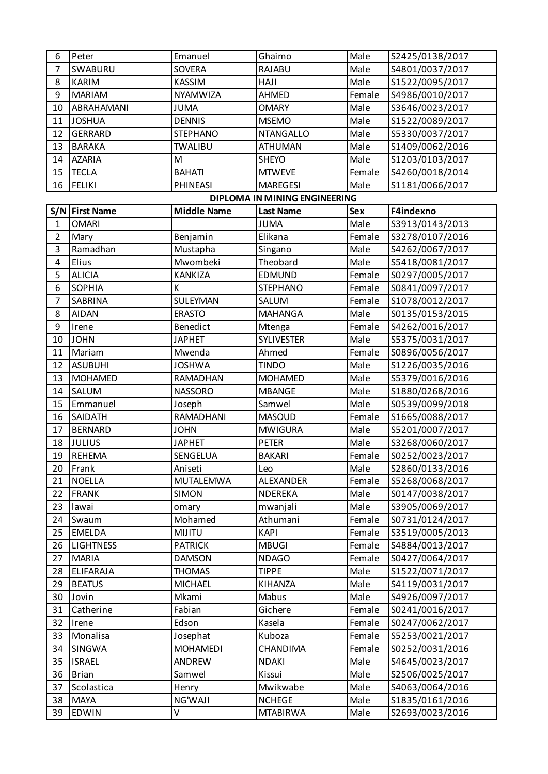| 6              | Peter            | Emanuel            | Ghaimo                        | Male       | S2425/0138/2017 |
|----------------|------------------|--------------------|-------------------------------|------------|-----------------|
| $\overline{7}$ | SWABURU          | <b>SOVERA</b>      | <b>RAJABU</b>                 | Male       | S4801/0037/2017 |
| 8              | <b>KARIM</b>     | KASSIM             | HAJI                          | Male       | S1522/0095/2017 |
| 9              | <b>MARIAM</b>    | NYAMWIZA           | AHMED                         | Female     | S4986/0010/2017 |
| 10             | ABRAHAMANI       | <b>JUMA</b>        | <b>OMARY</b>                  | Male       | S3646/0023/2017 |
| 11             | <b>JOSHUA</b>    | <b>DENNIS</b>      | <b>MSEMO</b>                  | Male       | S1522/0089/2017 |
| 12             | <b>GERRARD</b>   | <b>STEPHANO</b>    | <b>NTANGALLO</b>              | Male       | S5330/0037/2017 |
| 13             | <b>BARAKA</b>    | <b>TWALIBU</b>     | <b>ATHUMAN</b>                | Male       | S1409/0062/2016 |
| 14             | <b>AZARIA</b>    | M                  | <b>SHEYO</b>                  | Male       | S1203/0103/2017 |
| 15             | <b>TECLA</b>     | <b>BAHATI</b>      | <b>MTWEVE</b>                 | Female     | S4260/0018/2014 |
| 16             | <b>FELIKI</b>    | <b>PHINEASI</b>    | <b>MAREGESI</b>               | Male       | S1181/0066/2017 |
|                |                  |                    | DIPLOMA IN MINING ENGINEERING |            |                 |
|                | S/N   First Name | <b>Middle Name</b> | <b>Last Name</b>              | <b>Sex</b> | F4indexno       |
| $\mathbf{1}$   | <b>OMARI</b>     |                    | <b>JUMA</b>                   | Male       | S3913/0143/2013 |
| $\overline{2}$ | Mary             | Benjamin           | Elikana                       | Female     | S3278/0107/2016 |
| 3              | Ramadhan         | Mustapha           | Singano                       | Male       | S4262/0067/2017 |
| 4              | Elius            | Mwombeki           | Theobard                      | Male       | S5418/0081/2017 |
| 5              | <b>ALICIA</b>    | <b>KANKIZA</b>     | EDMUND                        | Female     | S0297/0005/2017 |
| 6              | <b>SOPHIA</b>    | К                  | <b>STEPHANO</b>               | Female     | S0841/0097/2017 |
| $\overline{7}$ | SABRINA          | <b>SULEYMAN</b>    | SALUM                         | Female     | S1078/0012/2017 |
| 8              | <b>AIDAN</b>     | <b>ERASTO</b>      | <b>MAHANGA</b>                | Male       | S0135/0153/2015 |
| 9              | Irene            | Benedict           | Mtenga                        | Female     | S4262/0016/2017 |
| 10             | <b>JOHN</b>      | <b>JAPHET</b>      | <b>SYLIVESTER</b>             | Male       | S5375/0031/2017 |
| 11             | Mariam           | Mwenda             | Ahmed                         | Female     | S0896/0056/2017 |
| 12             | <b>ASUBUHI</b>   | <b>JOSHWA</b>      | <b>TINDO</b>                  | Male       | S1226/0035/2016 |
| 13             | <b>MOHAMED</b>   | RAMADHAN           | <b>MOHAMED</b>                | Male       | S5379/0016/2016 |
| 14             | SALUM            | <b>NASSORO</b>     | <b>MBANGE</b>                 | Male       | S1880/0268/2016 |
| 15             | Emmanuel         | Joseph             | Samwel                        | Male       | S0539/0099/2018 |
| 16             | SAIDATH          | RAMADHANI          | <b>MASOUD</b>                 | Female     | S1665/0088/2017 |
| 17             | <b>BERNARD</b>   | <b>JOHN</b>        | <b>MWIGURA</b>                | Male       | S5201/0007/2017 |
| 18             | <b>JULIUS</b>    | <b>JAPHET</b>      | <b>PETER</b>                  | Male       | S3268/0060/2017 |
| 19             | <b>REHEMA</b>    | SENGELUA           | <b>BAKARI</b>                 | Female     | S0252/0023/2017 |
| 20             | Frank            | Aniseti            | Leo                           | Male       | S2860/0133/2016 |
| 21             | <b>NOELLA</b>    | <b>MUTALEMWA</b>   | ALEXANDER                     | Female     | S5268/0068/2017 |
| 22             | <b>FRANK</b>     | <b>SIMON</b>       | NDEREKA                       | Male       | S0147/0038/2017 |
| 23             | lawai            | omary              | mwanjali                      | Male       | S3905/0069/2017 |
| 24             | Swaum            | Mohamed            | Athumani                      | Female     | S0731/0124/2017 |
| 25             | <b>EMELDA</b>    | <b>MIJITU</b>      | <b>KAPI</b>                   | Female     | S3519/0005/2013 |
| 26             | <b>LIGHTNESS</b> | <b>PATRICK</b>     | <b>MBUGI</b>                  | Female     | S4884/0013/2017 |
| 27             | <b>MARIA</b>     | <b>DAMSON</b>      | <b>NDAGO</b>                  | Female     | S0427/0064/2017 |
| 28             | <b>ELIFARAJA</b> | <b>THOMAS</b>      | <b>TIPPE</b>                  | Male       | S1522/0071/2017 |
| 29             | <b>BEATUS</b>    | <b>MICHAEL</b>     | KIHANZA                       | Male       | S4119/0031/2017 |
| 30             | Jovin            | Mkami              | Mabus                         | Male       | S4926/0097/2017 |
| 31             | Catherine        | Fabian             | Gichere                       | Female     | S0241/0016/2017 |
| 32             | Irene            | Edson              | Kasela                        | Female     | S0247/0062/2017 |
| 33             | Monalisa         | Josephat           | Kuboza                        | Female     | S5253/0021/2017 |
| 34             | SINGWA           | <b>MOHAMEDI</b>    | CHANDIMA                      | Female     | S0252/0031/2016 |
| 35             | <b>ISRAEL</b>    | ANDREW             | <b>NDAKI</b>                  | Male       | S4645/0023/2017 |
| 36             | <b>Brian</b>     | Samwel             | Kissui                        | Male       | S2506/0025/2017 |
| 37             | Scolastica       | Henry              | Mwikwabe                      | Male       | S4063/0064/2016 |
| 38             | <b>MAYA</b>      | NG'WAJI            | <b>NCHEGE</b>                 | Male       | S1835/0161/2016 |
| 39             | <b>EDWIN</b>     | V                  | <b>MTABIRWA</b>               | Male       | S2693/0023/2016 |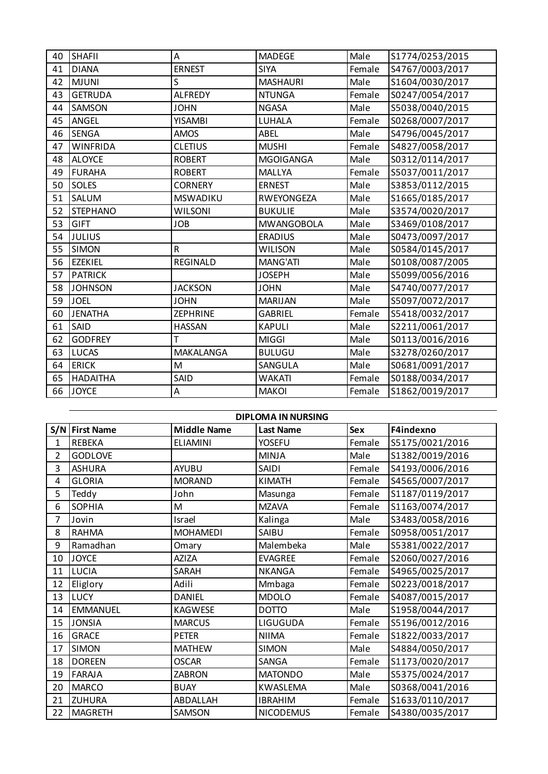| 40 | <b>SHAFII</b>   | A               | <b>MADEGE</b>     | Male   | S1774/0253/2015 |
|----|-----------------|-----------------|-------------------|--------|-----------------|
| 41 | <b>DIANA</b>    | <b>ERNEST</b>   | <b>SIYA</b>       | Female | S4767/0003/2017 |
| 42 | <b>MJUNI</b>    | S               | <b>MASHAURI</b>   | Male   | S1604/0030/2017 |
| 43 | <b>GETRUDA</b>  | <b>ALFREDY</b>  | <b>NTUNGA</b>     | Female | S0247/0054/2017 |
| 44 | <b>SAMSON</b>   | <b>JOHN</b>     | <b>NGASA</b>      | Male   | S5038/0040/2015 |
| 45 | ANGEL           | <b>YISAMBI</b>  | LUHALA            | Female | S0268/0007/2017 |
| 46 | <b>SENGA</b>    | <b>AMOS</b>     | ABEL              | Male   | S4796/0045/2017 |
| 47 | <b>WINFRIDA</b> | <b>CLETIUS</b>  | <b>MUSHI</b>      | Female | S4827/0058/2017 |
| 48 | <b>ALOYCE</b>   | <b>ROBERT</b>   | <b>MGOIGANGA</b>  | Male   | S0312/0114/2017 |
| 49 | <b>FURAHA</b>   | <b>ROBERT</b>   | <b>MALLYA</b>     | Female | S5037/0011/2017 |
| 50 | <b>SOLES</b>    | <b>CORNERY</b>  | <b>ERNEST</b>     | Male   | S3853/0112/2015 |
| 51 | SALUM           | <b>MSWADIKU</b> | <b>RWEYONGEZA</b> | Male   | S1665/0185/2017 |
| 52 | <b>STEPHANO</b> | <b>WILSONI</b>  | <b>BUKULIE</b>    | Male   | S3574/0020/2017 |
| 53 | <b>GIFT</b>     | <b>JOB</b>      | <b>MWANGOBOLA</b> | Male   | S3469/0108/2017 |
| 54 | <b>JULIUS</b>   |                 | <b>ERADIUS</b>    | Male   | S0473/0097/2017 |
| 55 | <b>SIMON</b>    | $\mathsf{R}$    | <b>WILISON</b>    | Male   | S0584/0145/2017 |
| 56 | <b>EZEKIEL</b>  | <b>REGINALD</b> | MANG'ATI          | Male   | S0108/0087/2005 |
| 57 | <b>PATRICK</b>  |                 | <b>JOSEPH</b>     | Male   | S5099/0056/2016 |
| 58 | <b>JOHNSON</b>  | <b>JACKSON</b>  | <b>JOHN</b>       | Male   | S4740/0077/2017 |
| 59 | <b>JOEL</b>     | <b>JOHN</b>     | MARIJAN           | Male   | S5097/0072/2017 |
| 60 | <b>JENATHA</b>  | <b>ZEPHRINE</b> | <b>GABRIEL</b>    | Female | S5418/0032/2017 |
| 61 | SAID            | <b>HASSAN</b>   | <b>KAPULI</b>     | Male   | S2211/0061/2017 |
| 62 | <b>GODFREY</b>  | T               | <b>MIGGI</b>      | Male   | S0113/0016/2016 |
| 63 | LUCAS           | MAKALANGA       | <b>BULUGU</b>     | Male   | S3278/0260/2017 |
| 64 | <b>ERICK</b>    | M               | SANGULA           | Male   | S0681/0091/2017 |
| 65 | <b>HADAITHA</b> | SAID            | <b>WAKATI</b>     | Female | S0188/0034/2017 |
| 66 | <b>JOYCE</b>    | A               | <b>MAKOI</b>      | Female | S1862/0019/2017 |

|                | <b>DIPLOMA IN NURSING</b> |                    |                  |            |                 |  |  |
|----------------|---------------------------|--------------------|------------------|------------|-----------------|--|--|
| S/N            | <b>First Name</b>         | <b>Middle Name</b> | <b>Last Name</b> | <b>Sex</b> | F4indexno       |  |  |
| 1              | <b>REBEKA</b>             | <b>ELIAMINI</b>    | <b>YOSEFU</b>    | Female     | S5175/0021/2016 |  |  |
| $\overline{2}$ | <b>GODLOVE</b>            |                    | <b>MINJA</b>     | Male       | S1382/0019/2016 |  |  |
| 3              | <b>ASHURA</b>             | <b>AYUBU</b>       | SAIDI            | Female     | S4193/0006/2016 |  |  |
| 4              | <b>GLORIA</b>             | <b>MORAND</b>      | <b>KIMATH</b>    | Female     | S4565/0007/2017 |  |  |
| 5              | Teddy                     | John               | Masunga          | Female     | S1187/0119/2017 |  |  |
| 6              | <b>SOPHIA</b>             | M                  | <b>MZAVA</b>     | Female     | S1163/0074/2017 |  |  |
| 7              | Jovin                     | Israel             | Kalinga          | Male       | S3483/0058/2016 |  |  |
| 8              | <b>RAHMA</b>              | <b>MOHAMEDI</b>    | SAIBU            | Female     | S0958/0051/2017 |  |  |
| 9              | Ramadhan                  | Omary              | Malembeka        | Male       | S5381/0022/2017 |  |  |
| 10             | <b>JOYCE</b>              | <b>AZIZA</b>       | <b>EVAGREE</b>   | Female     | S2060/0027/2016 |  |  |
| 11             | LUCIA                     | <b>SARAH</b>       | <b>NKANGA</b>    | Female     | S4965/0025/2017 |  |  |
| 12             | Eliglory                  | Adili              | Mmbaga           | Female     | S0223/0018/2017 |  |  |
| 13             | LUCY                      | <b>DANIEL</b>      | <b>MDOLO</b>     | Female     | S4087/0015/2017 |  |  |
| 14             | <b>EMMANUEL</b>           | <b>KAGWESE</b>     | <b>DOTTO</b>     | Male       | S1958/0044/2017 |  |  |
| 15             | <b>JONSIA</b>             | <b>MARCUS</b>      | LIGUGUDA         | Female     | S5196/0012/2016 |  |  |
| 16             | <b>GRACE</b>              | <b>PETER</b>       | <b>NIIMA</b>     | Female     | S1822/0033/2017 |  |  |
| 17             | <b>SIMON</b>              | <b>MATHEW</b>      | <b>SIMON</b>     | Male       | S4884/0050/2017 |  |  |
| 18             | <b>DOREEN</b>             | <b>OSCAR</b>       | SANGA            | Female     | S1173/0020/2017 |  |  |
| 19             | <b>FARAJA</b>             | <b>ZABRON</b>      | <b>MATONDO</b>   | Male       | S5375/0024/2017 |  |  |
| 20             | <b>MARCO</b>              | <b>BUAY</b>        | KWASLEMA         | Male       | S0368/0041/2016 |  |  |
| 21             | <b>ZUHURA</b>             | ABDALLAH           | <b>IBRAHIM</b>   | Female     | S1633/0110/2017 |  |  |
| 22             | <b>MAGRETH</b>            | SAMSON             | <b>NICODEMUS</b> | Female     | S4380/0035/2017 |  |  |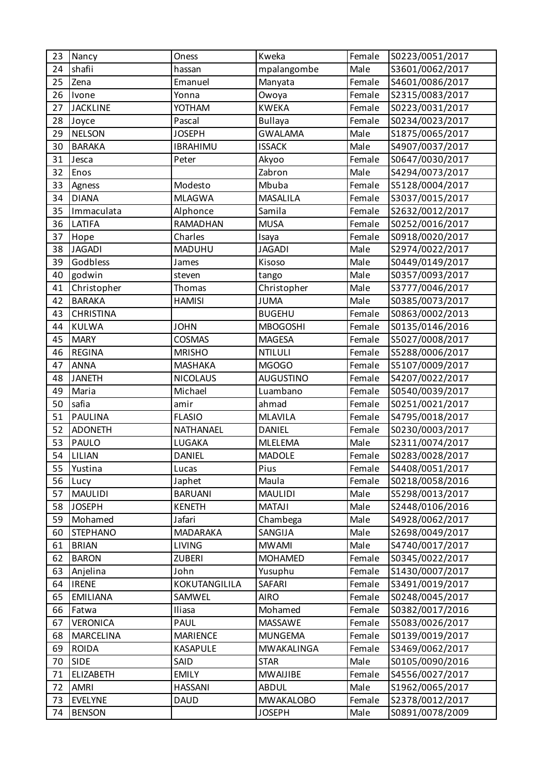| 23 | Nancy            | Oness           | Kweka            | Female | S0223/0051/2017 |
|----|------------------|-----------------|------------------|--------|-----------------|
| 24 | shafii           | hassan          | mpalangombe      | Male   | S3601/0062/2017 |
| 25 | Zena             | Emanuel         | Manyata          | Female | S4601/0086/2017 |
| 26 | Ivone            | Yonna           | Owoya            | Female | S2315/0083/2017 |
| 27 | <b>JACKLINE</b>  | YOTHAM          | <b>KWEKA</b>     | Female | S0223/0031/2017 |
| 28 | Joyce            | Pascal          | <b>Bullaya</b>   | Female | S0234/0023/2017 |
| 29 | <b>NELSON</b>    | <b>JOSEPH</b>   | <b>GWALAMA</b>   | Male   | S1875/0065/2017 |
| 30 | <b>BARAKA</b>    | <b>IBRAHIMU</b> | <b>ISSACK</b>    | Male   | S4907/0037/2017 |
| 31 | Jesca            | Peter           | Akyoo            | Female | S0647/0030/2017 |
| 32 | Enos             |                 | Zabron           | Male   | S4294/0073/2017 |
| 33 | Agness           | Modesto         | Mbuba            | Female | S5128/0004/2017 |
| 34 | <b>DIANA</b>     | <b>MLAGWA</b>   | <b>MASALILA</b>  | Female | S3037/0015/2017 |
| 35 | Immaculata       | Alphonce        | Samila           | Female | S2632/0012/2017 |
| 36 | LATIFA           | <b>RAMADHAN</b> | <b>MUSA</b>      | Female | S0252/0016/2017 |
| 37 | Hope             | Charles         | Isaya            | Female | S0918/0020/2017 |
| 38 | <b>JAGADI</b>    | MADUHU          | <b>JAGADI</b>    | Male   | S2974/0022/2017 |
| 39 | Godbless         | James           | Kisoso           | Male   | S0449/0149/2017 |
| 40 | godwin           | steven          | tango            | Male   | S0357/0093/2017 |
| 41 | Christopher      | Thomas          | Christopher      | Male   | S3777/0046/2017 |
| 42 | <b>BARAKA</b>    | <b>HAMISI</b>   | <b>JUMA</b>      | Male   | S0385/0073/2017 |
| 43 | <b>CHRISTINA</b> |                 | <b>BUGEHU</b>    | Female | S0863/0002/2013 |
| 44 | <b>KULWA</b>     | <b>JOHN</b>     | <b>MBOGOSHI</b>  | Female | S0135/0146/2016 |
| 45 | <b>MARY</b>      | <b>COSMAS</b>   | <b>MAGESA</b>    | Female | S5027/0008/2017 |
| 46 | <b>REGINA</b>    | <b>MRISHO</b>   | <b>NTILULI</b>   | Female | S5288/0006/2017 |
| 47 | <b>ANNA</b>      | <b>MASHAKA</b>  | MGOGO            | Female | S5107/0009/2017 |
| 48 | <b>JANETH</b>    | <b>NICOLAUS</b> | <b>AUGUSTINO</b> | Female | S4207/0022/2017 |
| 49 | Maria            | Michael         | Luambano         | Female | S0540/0039/2017 |
| 50 | safia            | amir            | ahmad            | Female | S0251/0021/2017 |
| 51 | <b>PAULINA</b>   | <b>FLASIO</b>   | <b>MLAVILA</b>   | Female | S4795/0018/2017 |
| 52 | <b>ADONETH</b>   | NATHANAEL       | <b>DANIEL</b>    | Female | S0230/0003/2017 |
| 53 | PAULO            | LUGAKA          | <b>MLELEMA</b>   | Male   | S2311/0074/2017 |
| 54 | LILIAN           | <b>DANIEL</b>   | <b>MADOLE</b>    | Female | S0283/0028/2017 |
| 55 | Yustina          | Lucas           | Pius             | Female | S4408/0051/2017 |
| 56 | Lucy             | Japhet          | Maula            | Female | S0218/0058/2016 |
| 57 | <b>MAULIDI</b>   | <b>BARUANI</b>  | <b>MAULIDI</b>   | Male   | S5298/0013/2017 |
| 58 | <b>JOSEPH</b>    | <b>KENETH</b>   | <b>MATAJI</b>    | Male   | S2448/0106/2016 |
| 59 | Mohamed          | Jafari          | Chambega         | Male   | S4928/0062/2017 |
| 60 | <b>STEPHANO</b>  | <b>MADARAKA</b> | SANGIJA          | Male   | S2698/0049/2017 |
| 61 | <b>BRIAN</b>     | <b>LIVING</b>   | <b>MWAMI</b>     | Male   | S4740/0017/2017 |
| 62 | <b>BARON</b>     | <b>ZUBERI</b>   | <b>MOHAMED</b>   | Female | S0345/0022/2017 |
| 63 | Anjelina         | John            | Yusuphu          | Female | S1430/0007/2017 |
| 64 | <b>IRENE</b>     | KOKUTANGILILA   | SAFARI           | Female | S3491/0019/2017 |
| 65 | <b>EMILIANA</b>  | SAMWEL          | <b>AIRO</b>      | Female | S0248/0045/2017 |
| 66 | Fatwa            | Iliasa          | Mohamed          | Female | S0382/0017/2016 |
| 67 | <b>VERONICA</b>  | PAUL            | MASSAWE          | Female | S5083/0026/2017 |
| 68 | <b>MARCELINA</b> | <b>MARIENCE</b> | <b>MUNGEMA</b>   | Female | S0139/0019/2017 |
| 69 | <b>ROIDA</b>     | KASAPULE        | MWAKALINGA       | Female | S3469/0062/2017 |
| 70 | <b>SIDE</b>      | SAID            | <b>STAR</b>      | Male   | S0105/0090/2016 |
| 71 | <b>ELIZABETH</b> | <b>EMILY</b>    | <b>MWAIJIBE</b>  | Female | S4556/0027/2017 |
| 72 | AMRI             | <b>HASSANI</b>  | <b>ABDUL</b>     | Male   | S1962/0065/2017 |
| 73 | <b>EVELYNE</b>   | <b>DAUD</b>     | <b>MWAKALOBO</b> | Female | S2378/0012/2017 |
| 74 | <b>BENSON</b>    |                 | <b>JOSEPH</b>    | Male   | S0891/0078/2009 |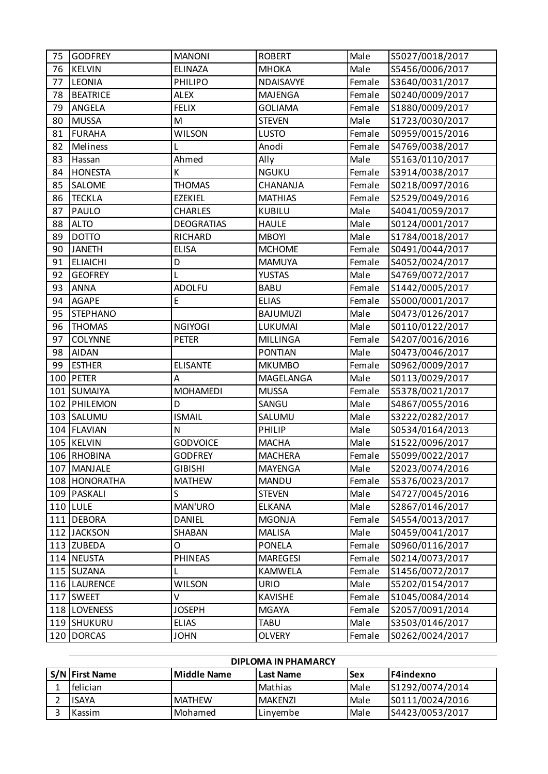| 75 | <b>GODFREY</b>  | <b>MANONI</b>     | <b>ROBERT</b>   | Male   | S5027/0018/2017 |
|----|-----------------|-------------------|-----------------|--------|-----------------|
| 76 | <b>KELVIN</b>   | <b>ELINAZA</b>    | <b>МНОКА</b>    | Male   | S5456/0006/2017 |
| 77 | LEONIA          | <b>PHILIPO</b>    | NDAISAVYE       | Female | S3640/0031/2017 |
| 78 | <b>BEATRICE</b> | <b>ALEX</b>       | <b>MAJENGA</b>  | Female | S0240/0009/2017 |
| 79 | ANGELA          | <b>FELIX</b>      | <b>GOLIAMA</b>  | Female | S1880/0009/2017 |
| 80 | <b>MUSSA</b>    | M                 | <b>STEVEN</b>   | Male   | S1723/0030/2017 |
| 81 | <b>FURAHA</b>   | <b>WILSON</b>     | <b>LUSTO</b>    | Female | S0959/0015/2016 |
| 82 | Meliness        |                   | Anodi           | Female | S4769/0038/2017 |
| 83 | Hassan          | Ahmed             | Ally            | Male   | S5163/0110/2017 |
| 84 | <b>HONESTA</b>  | К                 | <b>NGUKU</b>    | Female | S3914/0038/2017 |
| 85 | SALOME          | <b>THOMAS</b>     | CHANANJA        | Female | S0218/0097/2016 |
| 86 | <b>TECKLA</b>   | <b>EZEKIEL</b>    | <b>MATHIAS</b>  | Female | S2529/0049/2016 |
| 87 | PAULO           | <b>CHARLES</b>    | <b>KUBILU</b>   | Male   | S4041/0059/2017 |
| 88 | <b>ALTO</b>     | <b>DEOGRATIAS</b> | <b>HAULE</b>    | Male   | S0124/0001/2017 |
| 89 | <b>DOTTO</b>    | <b>RICHARD</b>    | <b>MBOYI</b>    | Male   | S1784/0018/2017 |
| 90 | <b>JANETH</b>   | <b>ELISA</b>      | <b>MCHOME</b>   | Female | S0491/0044/2017 |
| 91 | <b>ELIAICHI</b> | D                 | <b>MAMUYA</b>   | Female | S4052/0024/2017 |
| 92 | <b>GEOFREY</b>  | L                 | <b>YUSTAS</b>   | Male   | S4769/0072/2017 |
| 93 | <b>ANNA</b>     | <b>ADOLFU</b>     | <b>BABU</b>     | Female | S1442/0005/2017 |
| 94 | AGAPE           | $\mathsf E$       | <b>ELIAS</b>    | Female | S5000/0001/2017 |
| 95 | <b>STEPHANO</b> |                   | <b>BAJUMUZI</b> | Male   | S0473/0126/2017 |
| 96 | <b>THOMAS</b>   | <b>NGIYOGI</b>    | LUKUMAI         | Male   | S0110/0122/2017 |
| 97 | <b>COLYNNE</b>  | <b>PETER</b>      | <b>MILLINGA</b> | Female | S4207/0016/2016 |
| 98 | <b>AIDAN</b>    |                   | <b>PONTIAN</b>  | Male   | S0473/0046/2017 |
| 99 | <b>ESTHER</b>   | <b>ELISANTE</b>   | <b>MKUMBO</b>   | Female | S0962/0009/2017 |
|    | 100 PETER       | A                 | MAGELANGA       | Male   | S0113/0029/2017 |
|    | 101 SUMAIYA     | <b>MOHAMEDI</b>   | <b>MUSSA</b>    | Female | S5378/0021/2017 |
|    | 102 PHILEMON    | D                 | SANGU           | Male   | S4867/0055/2016 |
|    | 103 SALUMU      | <b>ISMAIL</b>     | SALUMU          | Male   | S3222/0282/2017 |
|    | 104 FLAVIAN     | $\mathsf{N}$      | PHILIP          | Male   | S0534/0164/2013 |
|    | 105 KELVIN      | <b>GODVOICE</b>   | <b>MACHA</b>    | Male   | S1522/0096/2017 |
|    | 106 RHOBINA     | <b>GODFREY</b>    | <b>MACHERA</b>  | Female | S5099/0022/2017 |
|    | 107 MANJALE     | <b>GIBISHI</b>    | <b>MAYENGA</b>  | Male   | S2023/0074/2016 |
|    | 108 HONORATHA   | <b>MATHEW</b>     | MANDU           | Female | S5376/0023/2017 |
|    | 109 PASKALI     | S                 | <b>STEVEN</b>   | Male   | S4727/0045/2016 |
|    | 110 LULE        | MAN'URO           | <b>ELKANA</b>   | Male   | S2867/0146/2017 |
|    | 111 DEBORA      | <b>DANIEL</b>     | <b>MGONJA</b>   | Female | S4554/0013/2017 |
|    | 112 JACKSON     | SHABAN            | <b>MALISA</b>   | Male   | S0459/0041/2017 |
|    | 113 ZUBEDA      | O                 | <b>PONELA</b>   | Female | S0960/0116/2017 |
|    | 114 NEUSTA      | <b>PHINEAS</b>    | <b>MAREGESI</b> | Female | S0214/0073/2017 |
|    | 115 SUZANA      | L                 | KAMWELA         | Female | S1456/0072/2017 |
|    | 116   LAURENCE  | <b>WILSON</b>     | <b>URIO</b>     | Male   | S5202/0154/2017 |
|    | 117 SWEET       | V                 | <b>KAVISHE</b>  | Female | S1045/0084/2014 |
|    | 118 LOVENESS    | <b>JOSEPH</b>     | <b>MGAYA</b>    | Female | S2057/0091/2014 |
|    | 119 SHUKURU     | <b>ELIAS</b>      | TABU            | Male   | S3503/0146/2017 |
|    | 120 DORCAS      | <b>JOHN</b>       | <b>OLVERY</b>   | Female | S0262/0024/2017 |

| DIPLOMA IN PHAMARCY |               |                  |             |                 |  |  |
|---------------------|---------------|------------------|-------------|-----------------|--|--|
| S/N First Name      | Middle Name   | <b>Last Name</b> | l Se x      | IF4indexno      |  |  |
| <b>I</b> felician   |               | Mathias          | <b>Male</b> | S1292/0074/2014 |  |  |
| <b>ISAYA</b>        | <b>MATHEW</b> | <b>MAKENZI</b>   | <b>Male</b> | S0111/0024/2016 |  |  |
| <b>Kassim</b>       | l Mohamed     | Linvembe         | Male        | S4423/0053/2017 |  |  |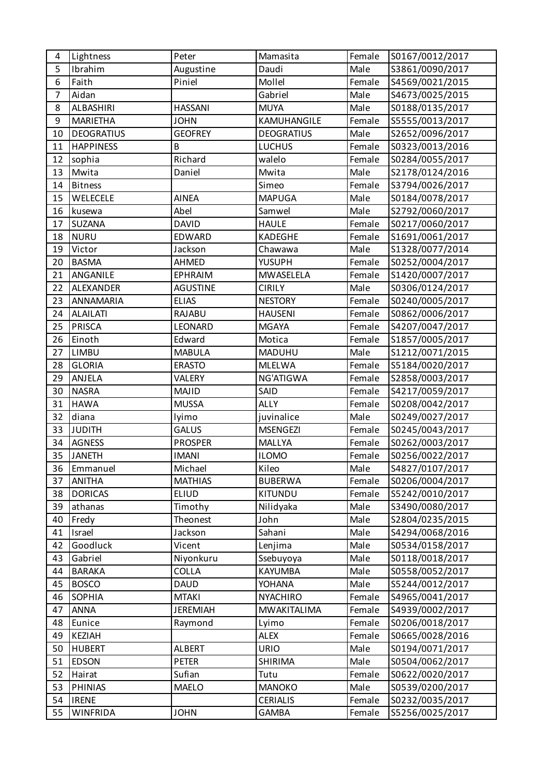| 4  | Lightness         | Peter           | Mamasita           | Female | S0167/0012/2017 |
|----|-------------------|-----------------|--------------------|--------|-----------------|
| 5  | Ibrahim           | Augustine       | Daudi              | Male   | S3861/0090/2017 |
| 6  | Faith             | Piniel          | Mollel             | Female | S4569/0021/2015 |
| 7  | Aidan             |                 | Gabriel            | Male   | S4673/0025/2015 |
| 8  | ALBASHIRI         | <b>HASSANI</b>  | <b>MUYA</b>        | Male   | S0188/0135/2017 |
| 9  | <b>MARIETHA</b>   | <b>JOHN</b>     | KAMUHANGILE        | Female | S5555/0013/2017 |
| 10 | <b>DEOGRATIUS</b> | <b>GEOFREY</b>  | <b>DEOGRATIUS</b>  | Male   | S2652/0096/2017 |
| 11 | <b>HAPPINESS</b>  | B               | <b>LUCHUS</b>      | Female | S0323/0013/2016 |
| 12 | sophia            | Richard         | walelo             | Female | S0284/0055/2017 |
| 13 | Mwita             | Daniel          | Mwita              | Male   | S2178/0124/2016 |
| 14 | <b>Bitness</b>    |                 | Simeo              | Female | S3794/0026/2017 |
| 15 | WELECELE          | <b>AINEA</b>    | <b>MAPUGA</b>      | Male   | S0184/0078/2017 |
| 16 | kusewa            | Abel            | Samwel             | Male   | S2792/0060/2017 |
| 17 | SUZANA            | <b>DAVID</b>    | <b>HAULE</b>       | Female | S0217/0060/2017 |
| 18 | <b>NURU</b>       | <b>EDWARD</b>   | <b>KADEGHE</b>     | Female | S1691/0061/2017 |
| 19 | Victor            | Jackson         | Chawawa            | Male   | S1328/0077/2014 |
| 20 | <b>BASMA</b>      | <b>AHMED</b>    | <b>YUSUPH</b>      | Female | S0252/0004/2017 |
| 21 | ANGANILE          | <b>EPHRAIM</b>  | MWASELELA          | Female | S1420/0007/2017 |
| 22 | ALEXANDER         | <b>AGUSTINE</b> | <b>CIRILY</b>      | Male   | S0306/0124/2017 |
| 23 | ANNAMARIA         | <b>ELIAS</b>    | <b>NESTORY</b>     | Female | S0240/0005/2017 |
| 24 | <b>ALAILATI</b>   | RAJABU          | <b>HAUSENI</b>     | Female | S0862/0006/2017 |
| 25 | <b>PRISCA</b>     | LEONARD         | <b>MGAYA</b>       | Female | S4207/0047/2017 |
| 26 | Einoth            | Edward          | Motica             | Female | S1857/0005/2017 |
| 27 | LIMBU             | <b>MABULA</b>   | <b>MADUHU</b>      | Male   | S1212/0071/2015 |
| 28 | <b>GLORIA</b>     | <b>ERASTO</b>   | <b>MLELWA</b>      | Female | S5184/0020/2017 |
| 29 | ANJELA            | <b>VALERY</b>   | NG'ATIGWA          | Female | S2858/0003/2017 |
| 30 | <b>NASRA</b>      | <b>MAJID</b>    | SAID               | Female | S4217/0059/2017 |
| 31 | <b>HAWA</b>       | <b>MUSSA</b>    | <b>ALLY</b>        | Female | S0208/0042/2017 |
| 32 | diana             | lyimo           | juvinalice         | Male   | S0249/0027/2017 |
| 33 | <b>JUDITH</b>     | <b>GALUS</b>    | <b>MSENGEZI</b>    | Female | S0245/0043/2017 |
| 34 | <b>AGNESS</b>     | <b>PROSPER</b>  | MALLYA             | Female | S0262/0003/2017 |
| 35 | <b>JANETH</b>     | <b>IMANI</b>    | <b>ILOMO</b>       | Female | S0256/0022/2017 |
| 36 | Emmanuel          | Michael         | Kileo              | Male   | S4827/0107/2017 |
| 37 | <b>ANITHA</b>     | <b>MATHIAS</b>  | <b>BUBERWA</b>     | Female | S0206/0004/2017 |
| 38 | <b>DORICAS</b>    | <b>ELIUD</b>    | KITUNDU            | Female | S5242/0010/2017 |
| 39 | athanas           | Timothy         | Nilidyaka          | Male   | S3490/0080/2017 |
| 40 | Fredy             | Theonest        | John               | Male   | S2804/0235/2015 |
| 41 | Israel            | Jackson         | Sahani             | Male   | S4294/0068/2016 |
| 42 | Goodluck          | Vicent          | Lenjima            | Male   | S0534/0158/2017 |
| 43 | Gabriel           | Niyonkuru       | Ssebuyoya          | Male   | S0118/0018/2017 |
| 44 | <b>BARAKA</b>     | COLLA           | KAYUMBA            | Male   | S0558/0052/2017 |
| 45 | <b>BOSCO</b>      | <b>DAUD</b>     | <b>YOHANA</b>      | Male   | S5244/0012/2017 |
| 46 | <b>SOPHIA</b>     | <b>MTAKI</b>    | <b>NYACHIRO</b>    | Female | S4965/0041/2017 |
| 47 | <b>ANNA</b>       | <b>JEREMIAH</b> | <b>MWAKITALIMA</b> | Female | S4939/0002/2017 |
| 48 | Eunice            | Raymond         | Lyimo              | Female | S0206/0018/2017 |
| 49 | <b>KEZIAH</b>     |                 | <b>ALEX</b>        | Female | S0665/0028/2016 |
| 50 | <b>HUBERT</b>     | <b>ALBERT</b>   | <b>URIO</b>        | Male   | S0194/0071/2017 |
| 51 | <b>EDSON</b>      | <b>PETER</b>    | SHIRIMA            | Male   | S0504/0062/2017 |
| 52 | Hairat            | Sufian          | Tutu               | Female | S0622/0020/2017 |
| 53 | <b>PHINIAS</b>    | <b>MAELO</b>    | <b>MANOKO</b>      | Male   | S0539/0200/2017 |
| 54 | <b>IRENE</b>      |                 | <b>CERIALIS</b>    | Female | S0232/0035/2017 |
| 55 | <b>WINFRIDA</b>   | <b>JOHN</b>     | GAMBA              | Female | S5256/0025/2017 |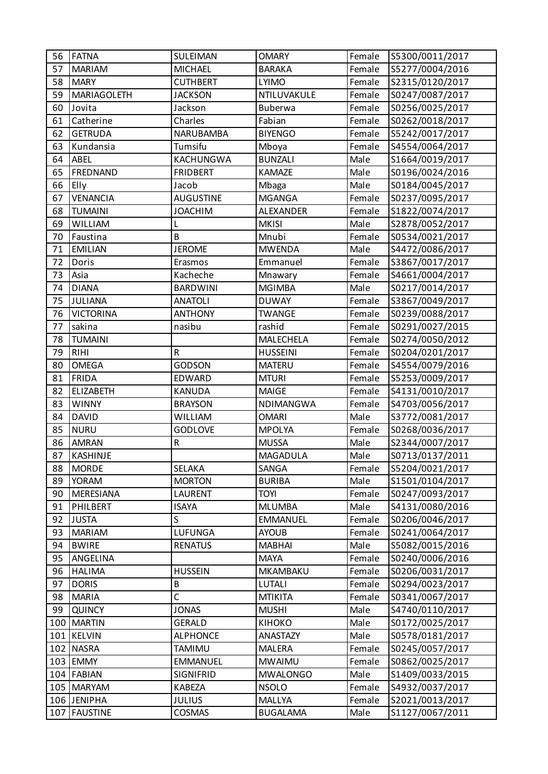| 56  | <b>FATNA</b>     | SULEIMAN         | <b>OMARY</b>    | Female | S5300/0011/2017 |
|-----|------------------|------------------|-----------------|--------|-----------------|
| 57  | <b>MARIAM</b>    | <b>MICHAEL</b>   | <b>BARAKA</b>   | Female | S5277/0004/2016 |
| 58  | <b>MARY</b>      | <b>CUTHBERT</b>  | <b>LYIMO</b>    | Female | S2315/0120/2017 |
| 59  | MARIAGOLETH      | <b>JACKSON</b>   | NTILUVAKULE     | Female | S0247/0087/2017 |
| 60  | Jovita           | Jackson          | Buberwa         | Female | S0256/0025/2017 |
| 61  | Catherine        | Charles          | Fabian          | Female | S0262/0018/2017 |
| 62  | <b>GETRUDA</b>   | NARUBAMBA        | <b>BIYENGO</b>  | Female | S5242/0017/2017 |
| 63  | Kundansia        | Tumsifu          | Mboya           | Female | S4554/0064/2017 |
| 64  | ABEL             | <b>KACHUNGWA</b> | <b>BUNZALI</b>  | Male   | S1664/0019/2017 |
| 65  | FREDNAND         | <b>FRIDBERT</b>  | <b>KAMAZE</b>   | Male   | S0196/0024/2016 |
| 66  | Elly             | Jacob            | Mbaga           | Male   | S0184/0045/2017 |
| 67  | <b>VENANCIA</b>  | <b>AUGUSTINE</b> | <b>MGANGA</b>   | Female | S0237/0095/2017 |
| 68  | <b>TUMAINI</b>   | <b>JOACHIM</b>   | ALEXANDER       | Female | S1822/0074/2017 |
| 69  | WILLIAM          |                  | <b>MKISI</b>    | Male   | S2878/0052/2017 |
| 70  | Faustina         | B                | Mnubi           | Female | S0534/0021/2017 |
| 71  | <b>EMILIAN</b>   | <b>JEROME</b>    | <b>MWENDA</b>   | Male   | S4472/0086/2017 |
| 72  | Doris            | Erasmos          | Emmanuel        | Female | S3867/0017/2017 |
| 73  | Asia             | Kacheche         | Mnawary         | Female | S4661/0004/2017 |
| 74  | <b>DIANA</b>     | <b>BARDWINI</b>  | <b>MGIMBA</b>   | Male   | S0217/0014/2017 |
| 75  | JULIANA          | <b>ANATOLI</b>   | <b>DUWAY</b>    | Female | S3867/0049/2017 |
| 76  | <b>VICTORINA</b> | <b>ANTHONY</b>   | <b>TWANGE</b>   | Female | S0239/0088/2017 |
| 77  | sakina           | nasibu           | rashid          | Female | S0291/0027/2015 |
| 78  | <b>TUMAINI</b>   |                  | MALECHELA       | Female | S0274/0050/2012 |
| 79  | <b>RIHI</b>      | $\mathsf R$      | <b>HUSSEINI</b> | Female | S0204/0201/2017 |
| 80  | <b>OMEGA</b>     | <b>GODSON</b>    | <b>MATERU</b>   | Female | S4554/0079/2016 |
| 81  | <b>FRIDA</b>     | EDWARD           | <b>MTURI</b>    | Female | S5253/0009/2017 |
| 82  | <b>ELIZABETH</b> | <b>KANUDA</b>    | <b>MAIGE</b>    | Female | S4131/0010/2017 |
| 83  | <b>WINNY</b>     | <b>BRAYSON</b>   | NDIMANGWA       | Female | S4703/0056/2017 |
| 84  | <b>DAVID</b>     | <b>WILLIAM</b>   | <b>OMARI</b>    | Male   | S3772/0081/2017 |
| 85  | <b>NURU</b>      | <b>GODLOVE</b>   | <b>MPOLYA</b>   | Female | S0268/0036/2017 |
| 86  | <b>AMRAN</b>     | ${\sf R}$        | <b>MUSSA</b>    | Male   | S2344/0007/2017 |
| 87  | <b>KASHINJE</b>  |                  | MAGADULA        | Male   | S0713/0137/2011 |
| 88  | <b>MORDE</b>     | SELAKA           | SANGA           | Female | S5204/0021/2017 |
| 89  | <b>YORAM</b>     | <b>MORTON</b>    | <b>BURIBA</b>   | Male   | S1501/0104/2017 |
| 90  | <b>MERESIANA</b> | LAURENT          | <b>TOYI</b>     | Female | S0247/0093/2017 |
| 91  | PHILBERT         | <b>ISAYA</b>     | <b>MLUMBA</b>   | Male   | S4131/0080/2016 |
| 92  | <b>JUSTA</b>     | S                | <b>EMMANUEL</b> | Female | S0206/0046/2017 |
| 93  | <b>MARIAM</b>    | LUFUNGA          | <b>AYOUB</b>    | Female | S0241/0064/2017 |
| 94  | <b>BWIRE</b>     | <b>RENATUS</b>   | <b>MABHAI</b>   | Male   | S5082/0015/2016 |
| 95  | ANGELINA         |                  | <b>MAYA</b>     | Female | S0240/0006/2016 |
| 96  | <b>HALIMA</b>    | <b>HUSSEIN</b>   | MKAMBAKU        | Female | S0206/0031/2017 |
| 97  | <b>DORIS</b>     | B                | LUTALI          | Female | S0294/0023/2017 |
| 98  | <b>MARIA</b>     | $\mathsf{C}$     | <b>MTIKITA</b>  | Female | S0341/0067/2017 |
| 99  | <b>QUINCY</b>    | <b>JONAS</b>     | <b>MUSHI</b>    | Male   | S4740/0110/2017 |
| 100 | <b>MARTIN</b>    | <b>GERALD</b>    | <b>KIHOKO</b>   | Male   | S0172/0025/2017 |
|     | 101 KELVIN       | <b>ALPHONCE</b>  | ANASTAZY        | Male   | S0578/0181/2017 |
|     | 102 NASRA        | TAMIMU           | MALERA          | Female | S0245/0057/2017 |
|     | 103 EMMY         | <b>EMMANUEL</b>  | <b>MWAIMU</b>   | Female | S0862/0025/2017 |
|     | 104 FABIAN       | <b>SIGNIFRID</b> | <b>MWALONGO</b> | Male   | S1409/0033/2015 |
|     | 105 MARYAM       | KABEZA           | <b>NSOLO</b>    | Female | S4932/0037/2017 |
|     | 106 JENIPHA      | <b>JULIUS</b>    | MALLYA          | Female | S2021/0013/2017 |
|     | 107   FAUSTINE   | <b>COSMAS</b>    | <b>BUGALAMA</b> | Male   | S1127/0067/2011 |